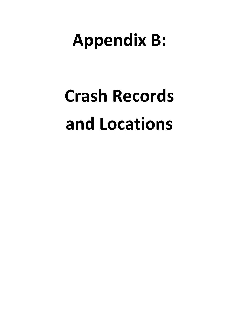## **Appendix B:**

## **Crash Records and Locations**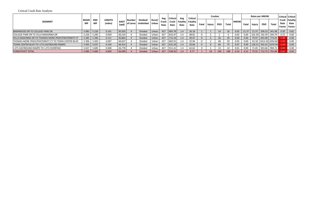|                                                    |                    |                         |                          |                      |                    |                              |                 | Avg           | <b>Critical</b> | Avg  | <b>Critical</b>                      |         |        | <b>Crashes</b> |       |             |       | Rates per HMVM            |            |                          |                | Critical   Critical              |
|----------------------------------------------------|--------------------|-------------------------|--------------------------|----------------------|--------------------|------------------------------|-----------------|---------------|-----------------|------|--------------------------------------|---------|--------|----------------|-------|-------------|-------|---------------------------|------------|--------------------------|----------------|----------------------------------|
| <b>SEGMENT</b>                                     | <b>BEGIN</b><br>МP | <b>END</b><br><b>MP</b> | <b>LENGTH</b><br>(miles) | <b>AADT</b><br>(vpd) | Number<br>of Lanes | Divided/<br><b>Undivided</b> | Rural/<br>Urban | Crash<br>Rate | Crash  <br>Rate | Rate | <b>Fatality   Fatality  </b><br>Rate | Fatal l | Injury | <b>PDO</b>     | Total | <b>HMVM</b> | Fatal | Injury                    | <b>PDO</b> | <b>Total</b>             | Rate<br>Factor | Crash Fatality<br>Rate<br>Factor |
| BARNWOOD DR TO COLLEGE PARK DR                     | 5.085              | 5.226                   | 0.141                    | 30,303               |                    | <b>Divided</b>               | Urban           | 427           | 683.78          | 1.4  | 26.18                                |         |        | 14             | 16    | 0.05        | 21.37 |                           |            | 21.37 299.23 341.98      | 0.50           | 0.82                             |
| ICOLLEGE PARK DR TO VILLA MADONNA DR               | 5.226              | 5.285                   | 0.059                    | 30,234               |                    | Divided                      | Urban           | 427           | 833.47          |      | 48.81                                |         |        |                |       | 0.02        | 0.00  |                           |            | 102.39   102.39   204.79 | 0.25           | 0.00                             |
| VILLA MADONNA DR TO THOMAS MORE PKWY/FRATERNITY CT |                    | $5.285$ 5.396           | 0.111                    | 30,864               |                    | <b>Divided</b>               | Urban           | 427           | 715.16          |      | 30.47                                |         |        | 26             | 29    | 0.04        | 0.00  |                           |            | 79.97 693.08 773.05      | 1.08           | 0.00                             |
| THOMAS MORE PKWY/FRATERNITY CT TO TOWN CENTER BLVD | 5.396              | 5.493                   | 0.097                    | 44,637               |                    | Divided                      | Urban           | 427           | 682.01          | 1.4  | 25.94                                |         |        | -48            | 50    | 0.05        | 0.00  |                           |            | 42.18 1012.42 1054.60    | 1.55           | 0.00                             |
| TOWN CENTER BLVD TO I-275 EASTBOUND RAMPS          |                    | $5.493$ 5.637           | 0.144                    | 44,414               |                    | <b>Divided</b>               | Urban           | 427           | 635.29          | 1.4  | 20.06                                |         |        | 66             |       | 0.07        | 0.00  | 128.51   942.43   1070.94 |            |                          | 1.69           | 0.00                             |
| <b>II-275 EASTBOUND RAMPS TO I-275 OVERPASS</b>    | 5.637              | 5.685                   | 0.048                    | 26,778               |                    | Divided                      | Urban           | 427           | 911.21          | 1.4  | 62.62                                |         |        |                |       | 0.01        | 0.00  |                           |            | 71.05   923.66   994.71  | 1.09           | 0.00                             |
| <b>TURKEYFOOT TOTAL</b>                            |                    | $5.085$ 5.685           | 0.600                    | 36,090               |                    | <b>Divided</b>               | Urban           | 427           | 538.42          | 1.4  | 9.77                                 |         | 18     | 169            | 188   | 0.24        | 4.22  |                           |            | 75.91 712.75 792.88      | 1.47           | 0.43                             |

## Critical Crash Rate Analysis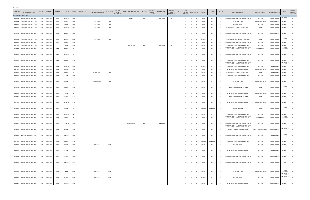| <b>CRASHES REPORTED</b> |
|-------------------------|
| PAGE 1 OF 6             |

| <b>MASTER FILE</b><br><b>NUMBER</b> | INVESTIGATING AGENCY<br><b>TURKEYFOOT ROAD (KY 1303)</b> | ROADWAY<br><b>NUMBER</b> | ROADWAY<br><b>NAME</b> | <b>MILEPOINT</b><br>DERIVED | COLLISION<br>DATE | COLLISION<br>TIME | INTERSECTION<br><b>ROADWAY#</b> | INTERSECTION ROADWAY NAME | <b>INTERSECTION</b><br><b>ROADWAY SF)</b> | <b>BETWEEN</b><br>STREET<br>ROADWAY #: | BETWEEN STREET ROADWAY NAME<br>#1 | BETWEEN<br>STREET SFX 1 | BETWEEN<br><b>STREETS</b><br>ROADWAY #2 | <b>BETWEEN STREET</b><br>ROADWAY NAME #2 | <b>BETWEEN</b><br>STREET<br>ROADWAY SFX 2 | UNITS<br>INVOLVED             | <b>MOTOR</b><br>VEHICLES<br>INVOLVED | KILLED                  | INJURED<br>WEATHER                | ROADWAY<br>CONDITION | HIT & RUN<br>INDICATOR | DIRECTIONAL ANALYSIS                                                                           | MANNER OF COLLISION       | ROADWAY CHARACTER               | LIGHT<br>CONDITION                | SECONDARY<br>COLLISION<br>INDICATOR |
|-------------------------------------|----------------------------------------------------------|--------------------------|------------------------|-----------------------------|-------------------|-------------------|---------------------------------|---------------------------|-------------------------------------------|----------------------------------------|-----------------------------------|-------------------------|-----------------------------------------|------------------------------------------|-------------------------------------------|-------------------------------|--------------------------------------|-------------------------|-----------------------------------|----------------------|------------------------|------------------------------------------------------------------------------------------------|---------------------------|---------------------------------|-----------------------------------|-------------------------------------|
| 71696758                            | LAKESIDE PK/CRESTVIEW HILLS PD                           | KY1303                   | <b>TURKEYFOOT</b>      | 5.083                       | 24-Nov-15         | 1843              |                                 |                           |                                           |                                        | <b>DUDLEY</b>                     | <b>RD</b>               |                                         | <b>BARNWOOD</b>                          | <b>DR</b>                                 |                               | -3                                   | $^{\circ}$              | CLEAR<br>$\overline{a}$           | <b>DRY</b>           |                        | REAR END IN TRAFFIC LANES BOTH VEHICLES MOVING                                                 | <b>REAR END</b>           | STRAIGHT & GRADE                | DARK-HWY NOT                      |                                     |
| 71552262                            | EDGEWOOD POLICE DEPARTMENT                               | KY1303                   | <b>TURKEYFOOT</b>      | 5.085                       | 5-Jan-15          | 1658              |                                 | BARNWOOD                  | <b>DR</b>                                 |                                        |                                   |                         |                                         |                                          |                                           | $\overline{\mathbf{3}}$       | $\overline{\mathbf{3}}$              | $\overline{0}$          | CLEAR<br>$\overline{0}$           | <b>DRY</b>           | N                      | OPPOSING LEFT TURN                                                                             | OPPOSING LEFT TURN        | STRAIGHT & LEVEL                | <b>LIGHTED</b><br>DAYLIGHT        |                                     |
| 71844089                            | EDGEWOOD POLICE DEPARTMENT                               | KY1303                   | TURKEYFOOT             | 5.085                       | 9-Sep-16          | 1646              |                                 | BARNWOOD                  | <b>DR</b>                                 |                                        |                                   |                         |                                         |                                          |                                           | 2                             | - 2                                  | $^{\circ}$              | CLEAR                             | <b>DRY</b>           |                        | REAR END - OTHER                                                                               | <b>REAR END</b>           | <b>STRAIGHT &amp; GRADE</b>     | DAYLIGHT                          |                                     |
| 71892014                            | EDGEWOOD POLICE DEPARTMENT                               | KY1303                   | TURKEYFOOT             | 5.085                       | 16-Nov-16         | 1057              |                                 | BARNWOOD                  | <b>DR</b>                                 |                                        |                                   |                         |                                         |                                          |                                           | $\overline{2}$                | $\overline{2}$                       | $^{\circ}$              | CLEAR                             | <b>DRY</b>           |                        | ANGLE COLLISION - ONE VEHICLE TURNING LEFT                                                     | ANGLE                     | <b>STRAIGHT &amp; GRADE</b>     | DAYLIGHT                          |                                     |
|                                     |                                                          |                          |                        |                             |                   |                   |                                 |                           |                                           |                                        |                                   |                         |                                         |                                          |                                           |                               |                                      |                         |                                   |                      |                        |                                                                                                |                           |                                 |                                   |                                     |
| 71756397                            | EDGEWOOD POLICE DEPARTMENT                               | KY1303                   | TURKEYFOOT             | 5.085                       | 7-Apr-16          | 1349              |                                 | BARNWOOD                  | <b>DR</b>                                 |                                        |                                   |                         |                                         |                                          |                                           | $\overline{\mathbf{3}}$       |                                      | $^{\circ}$              | CLOUDY                            | <b>DRY</b>           |                        | OPPOSING LEFT TURN                                                                             | OPPOSING LEFT TURN        | <b>STRAIGHT &amp; GRADE</b>     | DAYLIGHT                          |                                     |
| 71422476                            | LAKESIDE PK/CRESTVIEW HILLS PD                           | KY1303                   | TURKEYFOOT             | 5.086                       | 21-Feb-14         | 1620              |                                 |                           |                                           |                                        |                                   |                         |                                         |                                          |                                           | $\overline{\mathbf{3}}$       |                                      | $\mathbf{0}$            | CLEAR                             | <b>DRY</b>           |                        | REAR END IN TRAFFIC LANES BOTH VEHICLES MOVING                                                 | <b>REAR END</b>           | STRAIGHT & LEVEL                | DAYLIGHT                          |                                     |
| 71440407                            | LAKESIDE PK/CRESTVIEW HILLS PD                           | KY1303                   | <b>URKEYFOOT</b>       | 5.09                        | 14-Apr-14         | 1553              |                                 |                           |                                           |                                        |                                   |                         |                                         |                                          |                                           | $\overline{2}$                |                                      | $^{\circ}$              | CLEAR                             | WET                  |                        | REAR END IN TRAFFIC LANES BOTH VEHICLES MOVING                                                 | <b>REAR END</b>           | STRAIGHT & GRADE                | DAYLIGHT<br>DARK-HWY              |                                     |
| 71523070                            | EDGEWOOD POLICE DEPARTMENT                               | KY1303                   | TURKEYFOOT             | 5.093                       | 31-Oct-14         | 2213              |                                 | BARNWOOD                  | <b>DR</b>                                 |                                        |                                   |                         |                                         |                                          |                                           | $\overline{2}$                |                                      |                         | RAINING                           | WET                  |                        | ANGLE COLLISION - ONE VEHICLE TURNING RIGHT                                                    | ANGLE                     | <b>STRAIGHT &amp; GRADE</b>     | IGHTFD/O                          |                                     |
| 71664307                            | LAKESIDE PK/CRESTVIEW HILLS PD                           | KY1303                   | TURKEYFOOT             | 5.094                       | 23-Sep-15         | 1456              |                                 |                           |                                           |                                        |                                   |                         |                                         |                                          |                                           | <sup>2</sup>                  |                                      | $\mathbf{0}$            | CLEAR                             | DRY                  |                        | REAR END IN TRAFFIC LANES BOTH VEHICLES MOVING                                                 | <b>REAR END</b>           | STRAIGHT & GRADE                | DAYLIGHT                          |                                     |
| 71579671                            | EDGEWOOD POLICE DEPARTMENT                               | KY1303                   | TURKEYFOOT             | 5.1                         | 9-Mar-15          | 1215              |                                 |                           |                                           |                                        | <b>COLLEGE PARK</b>               | DR.                     |                                         | BARNWOOD                                 | DR                                        | $\overline{2}$                |                                      | $\mathbf{0}$            | CLOUDY                            | DRY                  |                        | REAR END IN TRAFFIC ONE VEHICLE STOPPED                                                        | <b>REAR END</b>           | <b>STRAIGHT &amp; GRADE</b>     | DAYLIGHT                          |                                     |
| 71416176                            | LAKESIDE PK/CRESTVIEW HILLS PD                           | KY1303                   | TURKEYFOOT             | 5.142                       | 11-Feb-14         | 214               |                                 |                           |                                           |                                        |                                   |                         |                                         |                                          |                                           | <sup>1</sup>                  |                                      | $\mathbf{0}$            | CLEAR                             | DRY                  |                        | COLLISION WITH FIXED OBJECT NON - INTERSECTION -<br>FIRST EVENT COLLISION 09 - 32 EXCLUDING 16 | SINGLE VEHICLE            | <b>STRAIGHT &amp; GRADE</b>     | DARK-HWY<br>LIGHTED/O             |                                     |
| 71538427                            | LAKESIDE PK/CRESTVIEW HILLS PD                           | KY1303                   | TURKEYFOOT             | 5.147                       | 1-Dec-14          | 846               |                                 |                           |                                           |                                        |                                   |                         |                                         |                                          |                                           | $\overline{2}$                |                                      | $\mathbf{0}$            | RAINING                           | WET                  | N.                     | REAR END IN TRAFFIC LANES BOTH VEHICLES MOVING                                                 | <b>REAR END</b>           | STRAIGHT & LEVEL                | DAYLIGHT                          | N                                   |
| 71530057                            | LAKESIDE PK/CRESTVIEW HILLS PD                           | KY1303                   | TURKEYFOOT             | 5.155                       | 14-Nov-14         | 835               |                                 |                           |                                           |                                        |                                   |                         |                                         |                                          |                                           | 2<br>$\overline{\phantom{a}}$ |                                      | $\Omega$                | CLEAR                             | DRY                  | N                      | REAR END IN TRAFFIC LANES BOTH VEHICLES MOVING                                                 | <b>REAR END</b>           | <b>STRAIGHT &amp; GRADE</b>     | DAYLIGHT                          | N                                   |
| 71610777                            | EDGEWOOD POLICE DEPARTMENT                               | KY1303                   | TURKEYFOOT             | 5.161                       | 25-May-15         | 715               |                                 |                           |                                           |                                        | <b>COLLEGE PARK</b>               | DR                      |                                         | BARNWOOD                                 | DR                                        | $\overline{1}$                |                                      | $\mathbf{0}$            | CLOUDY                            | DRY                  |                        | COLLISION WITH ANIMAL                                                                          | SINGLE VEHICLE            | <b>CURVE &amp; GRADE</b>        | DAYLIGHT                          |                                     |
| 71795851                            | LAKESIDE PK/CRESTVIEW HILLS PD                           | KY1303                   | TURKEYFOOT             | 5.198                       | 28-Jun-16         | 1720              |                                 |                           |                                           |                                        |                                   |                         |                                         |                                          |                                           | $\overline{\mathbf{3}}$       |                                      | $\mathbf 0$             | CLEAR                             | <b>DRY</b>           |                        | REAR END IN TRAFFIC ONE VEHICLE STOPPED                                                        | <b>REAR END</b>           | <b>STRAIGHT &amp; GRADE</b>     | DAYLIGHT                          |                                     |
| 71583794                            | KENTON COUNTY POLICE DEPT.                               | KY1303                   | TURKEYFOOT             | 5.2                         | 9-Mar-15          | 704               |                                 |                           |                                           |                                        | <b>COLLEGE PARK</b>               | <b>DR</b>               |                                         | BARNWOOD                                 | <b>DR</b>                                 | $\overline{\mathbf{3}}$       |                                      | $\overline{1}$          | CLOUDY<br>$\overline{2}$          | <b>DRY</b>           |                        | COLLISION WITH FIXED OBJECT NON - INTERSECTION<br>FIRST EVENT COLLISION 09 - 32 EXCLUDING 16   | ANGLE                     | <b>STRAIGHT &amp; GRADE</b>     | DARK-HWY NO<br>LIGHTED            |                                     |
| 71580400                            | LAKESIDE PK/CRESTVIEW HILLS PD                           | KY1303                   | TURKEYFOOT             | 5.222                       | 10-Mar-15         | 1650              |                                 |                           |                                           |                                        |                                   |                         |                                         |                                          |                                           | 2                             | $\overline{2}$                       | $\overline{0}$          | RAINING<br>$\overline{0}$         | WET                  |                        | REAR END IN TRAFFIC ONE VEHICLE STOPPED                                                        | <b>REAR END</b>           | <b>CURVE &amp; GRADE</b>        | DAYLIGHT                          |                                     |
| 71878944                            | LAKESIDE PK/CRESTVIEW HILLS PD                           | KY1303                   | TURKEYFOOT             | 5.226                       | 27-Oct-16         | 1446              |                                 |                           |                                           |                                        |                                   |                         |                                         |                                          |                                           | $\overline{2}$                | $\overline{2}$                       | $\overline{0}$          | CLEAR                             | <b>DRY</b>           |                        | OTHER ROADWAY OR MID-BLOCK COLLISION                                                           | OPPOSING LEFT TURN        | <b>STRAIGHT &amp; GRADE</b>     | DAYLIGHT                          |                                     |
| 71768311                            | LAKESIDE PK/CRESTVIEW HILLS PD                           | KY1303                   | TURKEYFOOT             | 5.226                       | 30-Apr-16         | 955               |                                 | <b>COLLEGE PARK</b>       | <b>DR</b>                                 |                                        |                                   |                         |                                         |                                          |                                           | 2                             | 2                                    | $\overline{0}$          | CLOUDY                            | DRY                  |                        | ANGLE COLLISION - ONE VEHICLE TURNING LEFT                                                     | ANGLE                     | <b>CURVE &amp; GRADE</b>        | DAYLIGHT                          |                                     |
| 71803577                            | LAKESIDE PK/CRESTVIEW HILLS PD                           | KY1303                   | TURKEYFOOT             | 5.278                       | 11-Jul-16         | 1654              |                                 |                           |                                           |                                        |                                   |                         |                                         |                                          |                                           | 2                             | 2                                    | $\overline{0}$          | $\overline{0}$<br>CLEAR           | <b>DRY</b>           |                        | REAR END IN TRAFFIC ONE VEHICLE STOPPED                                                        | <b>REAR END</b>           | STRAIGHT & GRADE                | DAYLIGHT                          |                                     |
| 71477489                            | LAKESIDE PK/CRESTVIEW HILLS PD                           | KY1303                   | TURKEYFOOT             | 5.284                       | 15-Jul-14         | 1720              |                                 | VILLA MADONNA             | DR                                        |                                        |                                   |                         |                                         |                                          |                                           | 2                             | 2                                    | $^{\circ}$              | $\overline{0}$<br>CLEAR           | <b>DRY</b>           |                        | OPPOSING LEFT TURN                                                                             | OPPOSING LEFT TURN        | STRAIGHT & GRADE                | DAYLIGHT                          |                                     |
|                                     | LAKESIDE PK/CRESTVIEW HILLS PD                           | KY1303                   | TURKEYFOOT             | 5.285                       | 23-Jan-14         | 943               |                                 | VILLA MADONNA             | DR                                        |                                        |                                   |                         |                                         |                                          |                                           | $\overline{2}$                | $\overline{2}$                       | $\overline{0}$          | CLOUDY<br>2                       | WET                  | N                      | OPPOSING LEFT TURN                                                                             | OPPOSING LEFT TURN        | <b>STRAIGHT &amp; GRADE</b>     | DAYLIGHT                          |                                     |
| 71409341                            |                                                          |                          |                        |                             |                   |                   |                                 |                           |                                           |                                        |                                   |                         |                                         |                                          |                                           |                               |                                      |                         |                                   |                      |                        |                                                                                                |                           |                                 |                                   |                                     |
| 71414310                            | LAKESIDE PK/CRESTVIEW HILLS PD                           | KY1303                   | TURKEYFOOT             | 5.285                       | 7-Feb-14          | 754               |                                 | VILLA MADONNA             | DR                                        |                                        |                                   |                         |                                         |                                          |                                           | $\overline{2}$                | $\overline{2}$                       | $\overline{0}$          | $\overline{\mathbf{0}}$<br>CLEAR  | DRY                  |                        | ANGLE COLLISION - ONE VEHICLE TURNING LEFT                                                     | ANGLE                     | <b>STRAIGHT &amp; GRADE</b>     | DAYLIGHT<br>DARK-HWY              |                                     |
| 71422480                            | LAKESIDE PK/CRESTVIEW HILLS PD                           | KY1303                   | TURKEYFOOT             | 5.285                       | 23-Feb-14         | 1915              |                                 |                           |                                           |                                        |                                   |                         |                                         |                                          |                                           | $\overline{2}$                | $\overline{2}$                       | $\overline{0}$          | $\overline{0}$<br>CLOUDY          | DRY                  |                        | 1 VEHICLE ENTERING/LEAVING ENTRANCE                                                            | ANGLE                     | <b>STRAIGHT &amp; GRADE</b>     | LIGHTED/ON                        |                                     |
| 71530919                            | LAKESIDE PK/CRESTVIEW HILLS PD                           | KY1303                   | TURKEYFOOT             | 5.285                       | 17-Nov-14         | 955               |                                 | VILLA MADONNA             | DR                                        |                                        |                                   |                         |                                         |                                          |                                           | $\overline{2}$                | $\overline{2}$                       | $\overline{0}$          | CLOUDY<br>$\mathbf{0}$            | SNOW/SLUSH           |                        | OPPOSING LEFT TURN                                                                             | OPPOSING LEFT TURN        | <b>STRAIGHT &amp; HILLCREST</b> | DAYLIGHT                          |                                     |
| 71602053                            | LAKESIDE PK/CRESTVIEW HILLS PD                           | KY1303                   | TURKEYFOOT             | 5.285                       | 4-May-15          | 804               |                                 |                           |                                           |                                        |                                   |                         |                                         |                                          |                                           | $\overline{2}$                | $\overline{2}$                       | $\overline{0}$          | CLEAR<br>$\mathbf{0}$             | <b>DRY</b>           |                        | OTHER ROADWAY OR MID-BLOCK COLLISION                                                           | OPPOSING LEFT TURN        | STRAIGHT & GRADE                | DAYLIGHT                          |                                     |
| 71755264                            | LAKESIDE PK/CRESTVIEW HILLS PD                           | KY1303                   | TURKEYFOOT             | 5.285                       | 1-Apr-16          | 1717              |                                 |                           |                                           |                                        |                                   |                         |                                         |                                          |                                           | $\overline{2}$                | $\overline{2}$                       | $^{\circ}$              | CLEAR                             | <b>DRY</b>           |                        | 1 VEHICLE ENTERING/LEAVING ENTRANCE                                                            | ANGLE                     | <b>STRAIGHT &amp; GRADE</b>     | DAYLIGHT                          |                                     |
| 71866490                            | LAKESIDE PK/CRESTVIEW HILLS PD                           | KY1303                   | <b>TURKEYFOOT</b>      | 5.285                       | 5-Oct-16          | 1613              |                                 |                           |                                           |                                        |                                   |                         |                                         |                                          |                                           | $\overline{2}$                | - 2                                  | $^{\circ}$              | CLEAR                             | <b>DRY</b>           |                        | 1 VEHICLE ENTERING/LEAVING ENTRANCE                                                            | ANGLE                     | <b>STRAIGHT &amp; GRADE</b>     | DAYLIGHT                          |                                     |
| 71778337                            | LAKESIDE PK/CRESTVIEW HILLS PD                           | KY1303                   | <b>TURKEYFOOT</b>      | 5.285                       | 24-May-16         | 1718              |                                 |                           |                                           |                                        |                                   |                         |                                         |                                          |                                           | - 2                           |                                      | $^{\circ}$              | CLEAR                             | <b>DRY</b>           |                        | OTHER ROADWAY OR MID-BLOCK COLLISION                                                           | OPPOSING LEFT TURN        | <b>STRAIGHT &amp; GRADE</b>     | DAYLIGHT                          |                                     |
| 71809435                            | LAKESIDE PK/CRESTVIEW HILLS PD                           | KY1303                   | <b>TURKEYFOOT</b>      | 5.285                       | 22-Jul-16         | 1343              |                                 |                           |                                           |                                        |                                   |                         |                                         |                                          |                                           | $\overline{2}$<br>- 2         |                                      | $\Omega$                | CLOUDY                            | <b>DRY</b>           |                        | OTHER ROADWAY OR MID-BLOCK COLLISION                                                           | <b>OPPOSING LEFT TURN</b> | <b>STRAIGHT &amp; GRADE</b>     | DAYLIGHT                          |                                     |
| 71406789                            | LAKESIDE PK/CRESTVIEW HILLS PD                           | KY1303                   | <b>TURKEYFOOT</b>      | 5.294                       | 21-Jan-14         | 653               |                                 |                           |                                           |                                        |                                   |                         |                                         |                                          |                                           | $\overline{2}$                | 2                                    | $\mathbf{0}$            | SNOWING                           | SNOW/SLUSH           |                        | HEAD-ON COLLISION                                                                              | <b>HEAD ON</b>            | STRAIGHT & GRADE                | DARK-HWY<br>IGHTED/O              |                                     |
| 71445778                            | LAKESIDE PK/CRESTVIEW HILLS PD                           | KY1303                   | <b>TURKEYFOOT</b>      | 5.297                       | 25-Apr-14         | 1453              |                                 |                           |                                           |                                        | VILLA MADONNA                     | DR                      |                                         | <b>THOMAS MORE</b>                       | PKWY                                      | $\overline{2}$                | 2                                    |                         | CLOUDY                            | <b>DRY</b>           |                        | REAR END IN TRAFFIC ONE VEHICLE STOPPED                                                        | <b>REAR END</b>           | STRAIGHT & GRADE                | DAYLIGHT                          |                                     |
| 71903849                            | LAKESIDE PK/CRESTVIEW HILLS PD                           | KY1303                   | <b>URKEYFOOT</b>       | 5.297                       | 29-Nov-16         | 825               |                                 |                           |                                           |                                        |                                   |                         |                                         |                                          |                                           |                               |                                      |                         | CLOUDY                            | WET                  |                        | REAR END IN TRAFFIC ONE VEHICLE STOPPED                                                        | <b>REAR END</b>           | STRAIGHT & GRADE                | DAYLIGHT                          |                                     |
| 71764045                            | LAKESIDE PK/CRESTVIEW HILLS PD                           | KY130                    | <b>URKEYFOOT</b>       | 5.298                       | 24-Apr-16         | 600               |                                 |                           |                                           |                                        |                                   |                         |                                         |                                          |                                           |                               |                                      |                         | CLEAR                             | <b>DRY</b>           |                        | COLLISION WITH FIXED OBJECT NON - INTERSECTION -<br>FIRST EVENT COLLISION 09 - 32 EXCLUDING 16 | SINGLE VEHICLE            | <b>STRAIGHT &amp; GRADE</b>     | DARK-HWY<br>IGHTFD/C              |                                     |
| 71778329                            | LAKESIDE PK/CRESTVIEW HILLS PD                           | KY1303                   | TURKEYFOOT             | 5.308                       | 19-May-16         | 1810              |                                 |                           |                                           |                                        |                                   |                         |                                         |                                          |                                           | $\overline{2}$                |                                      | $\mathbf 0$             | CLEAR                             | DRY                  |                        | REAR END IN TRAFFIC ONE VEHICLE STOPPED                                                        | <b>REAR END</b>           | <b>STRAIGHT &amp; GRADE</b>     | DAYLIGHT                          |                                     |
| 71780544                            | LAKESIDE PK/CRESTVIEW HILLS PD                           | KY1303                   | TURKEYFOOT             | 5.347                       | 27-May-16         | 1056              |                                 |                           |                                           |                                        | VILLA MADONNA                     | DR.                     |                                         | THOMAS MORE                              | PKWY                                      |                               | $\overline{\mathbf{3}}$              | $\mathbf 0$             | CLEAR                             | DRY                  |                        | REAR END IN TRAFFIC LANES BOTH VEHICLES MOVING                                                 | <b>REAR END</b>           | <b>STRAIGHT &amp; GRADE</b>     | DAYLIGHT                          |                                     |
| 71423145                            | LAKESIDE PK/CRESTVIEW HILLS PD                           | KY1303                   | TURKEYFOOT             | 5.366                       | 20-Feb-14         | 1721              |                                 |                           |                                           |                                        |                                   |                         |                                         |                                          |                                           | $\overline{2}$                | $\overline{2}$                       | $\overline{0}$          | $\overline{\mathbf{0}}$<br>CLOUDY | WET                  | N                      | COLLISION WITH FIXED OBJECT NON - INTERSECTION -                                               | SIDESWIPE-SAME DIRECTION  | <b>STRAIGHT &amp; GRADE</b>     | DAYLIGHT                          |                                     |
| 71412433                            | LAKESIDE PK/CRESTVIEW HILLS PD                           | KY1303                   | TURKEYFOOT             | 5.368                       | 30-Jan-14         | 1924              |                                 |                           |                                           |                                        |                                   |                         |                                         |                                          |                                           | $\overline{2}$                | $\overline{2}$                       | $\overline{0}$          | CLEAR<br>$\overline{\mathbf{0}}$  | DRY                  | N                      | FIRST EVENT COLLISION 09 - 32 EXCLUDING 1<br>SIDESWIPE COLLISION - SAME DIRECTION              | SIDESWIPE-SAME DIRECTION  | STRAIGHT & LEVEL                | DARK-HWY NOT                      | N                                   |
|                                     | LAKESIDE PK/CRESTVIEW HILLS PD                           | KY1303                   | TURKEYFOOT             | 5.383                       |                   | 1451              |                                 |                           |                                           |                                        |                                   |                         |                                         |                                          |                                           | $\overline{2}$                | $\overline{2}$                       | $\overline{0}$          | CLEAR<br>$\overline{\mathbf{0}}$  | DRY                  | N                      | OTHER ROADWAY OR MID-BLOCK COLLISION                                                           | <b>REAR END</b>           |                                 | LIGHTED<br>DAYLIGHT               | N                                   |
| 71464975                            |                                                          |                          |                        |                             | 13-Jun-14         |                   |                                 |                           |                                           |                                        |                                   |                         |                                         |                                          |                                           |                               |                                      |                         |                                   |                      |                        |                                                                                                |                           | STRAIGHT & LEVEL                | DARK-HWY                          |                                     |
| 71711249                            | ERLANGER POLICE DEPARTMENT                               | KY1303                   | TURKEYFOOT             | 5.385                       | 24-Dec-15         | 1820              |                                 |                           |                                           |                                        |                                   |                         |                                         |                                          |                                           | $\overline{2}$                | $\overline{2}$                       | $\overline{0}$          | CLEAR<br>$\overline{\mathbf{0}}$  | DRY                  | N                      | REAR END IN TRAFFIC LANES BOTH VEHICLES MOVING                                                 | <b>REAR END</b>           | <b>CURVE &amp; GRADE</b>        | LIGHTED/ON                        | N                                   |
|                                     | 71813400 LAKESIDE PK/CRESTVIEW HILLS PD                  | KY1303                   | TURKEYFOOT             | 5.385                       | 25-Jul-16         | 1611              |                                 |                           |                                           |                                        |                                   |                         |                                         |                                          |                                           | $\overline{2}$                | $\overline{2}$                       | $\overline{0}$          | CLOUDY<br>$\overline{0}$          | <b>DRY</b>           | N                      | REAR END IN TRAFFIC ONE VEHICLE STOPPED                                                        | <b>REAR END</b>           | STRAIGHT & HILLCREST            | DAYLIGHT                          | N                                   |
| 71570567                            | LAKESIDE PK/CRESTVIEW HILLS PD                           | KY1303                   | TURKEYFOOT             | 5.386                       | 16-Feb-15         | 1725              |                                 |                           |                                           |                                        |                                   |                         |                                         |                                          |                                           | $\overline{2}$                | $\overline{2}$                       | $\overline{0}$          | SNOWING<br>$\overline{0}$         | SNOW/SLUSH           | N                      | REAR END IN TRAFFIC ONE VEHICLE STOPPED                                                        | <b>REAR END</b>           | <b>STRAIGHT &amp; GRADE</b>     | DAYLIGHT                          |                                     |
| 71514563                            | LAKESIDE PK/CRESTVIEW HILLS PD                           | KY1303                   | TURKEYFOOT             | 5.387                       | 13-Oct-14         | 1822              |                                 | <b>THOMAS MORE</b>        | PKWY                                      |                                        |                                   |                         |                                         |                                          |                                           | $\overline{2}$                | $\overline{2}$                       | $\overline{0}$          | CLOUDY<br>$\overline{0}$          | <b>DRY</b>           | N                      | <b>REAR END - OTHER</b>                                                                        | <b>REAR END</b>           | <b>STRAIGHT &amp; GRADE</b>     | DAYLIGHT                          |                                     |
| 71509836                            | LAKESIDE PK/CRESTVIEW HILLS PD                           | KY1303                   | TURKEYFOOT             | 5.389                       | 1-Oct-14          | 850               |                                 |                           |                                           |                                        |                                   |                         |                                         |                                          |                                           | $\overline{2}$                | 2                                    | $\overline{0}$          | CLEAR<br>$\overline{0}$           | DRY                  |                        | REAR END IN TRAFFIC LANES BOTH VEHICLES MOVING                                                 | <b>REAR END</b>           | STRAIGHT & LEVEL                | DAYLIGHT                          |                                     |
| 71808551                            | LAKESIDE PK/CRESTVIEW HILLS PD                           | KY1303                   | TURKEYFOOT             | 5.391                       | 18-Jul-16         | 1631              |                                 |                           |                                           |                                        |                                   |                         |                                         |                                          |                                           | $\overline{2}$                | 2                                    | $\overline{0}$          | CLEAR<br>$\overline{0}$           | DRY                  | N                      | OTHER ROADWAY OR MID-BLOCK COLLISION                                                           | <b>REAR END</b>           | <b>CURVE &amp; GRADE</b>        | DAYLIGHT                          |                                     |
| 71671766                            | LAKESIDE PK/CRESTVIEW HILLS PD                           | KY1303                   | TURKEYFOOT             | 5.393                       | 8-Oct-15          | 1619              |                                 |                           |                                           |                                        |                                   |                         |                                         |                                          |                                           | $\overline{2}$                | $\overline{2}$                       | $\overline{0}$          | CLEAR<br>$\overline{0}$           | DRY                  | N                      | REAR END IN TRAFFIC LANES BOTH VEHICLES MOVING                                                 | <b>REAR END</b>           | STRAIGHT & LEVEL                | DAYLIGHT                          |                                     |
| 71436498                            | LAKESIDE PK/CRESTVIEW HILLS PD                           | KY1303                   | TURKEYFOOT             | 5.394                       | 1-Apr-14          | 1646              |                                 |                           |                                           |                                        |                                   |                         |                                         |                                          |                                           | $\overline{2}$                | $\overline{2}$                       | $\overline{0}$          | $\overline{\mathbf{0}}$<br>CLEAR  | DRY                  | N                      | REAR END IN TRAFFIC LANES BOTH VEHICLES MOVING                                                 | <b>REAR END</b>           | STRAIGHT & LEVEL                | DAYLIGHT                          | N                                   |
| 71891997                            | LAKESIDE PK/CRESTVIEW HILLS PD                           | KY1303                   | TURKEYFOOT             | 5.394                       | 14-Nov-16         | 1842              |                                 | <b>THOMAS MORE</b>        | PKWY                                      |                                        |                                   |                         |                                         |                                          |                                           | $\overline{2}$                | $\overline{2}$                       | $\overline{0}$          | $\overline{0}$<br>CLEAR           | DRY                  | N                      | REAR END - OTHER                                                                               | <b>REAR END</b>           | <b>STRAIGHT &amp; GRADE</b>     | DUSK                              | N                                   |
| 71543867                            | LAKESIDE PK/CRESTVIEW HILLS PD                           | KY1303                   | TURKEYFOOT             | 5.395                       | 15-Dec-14         | 1917              |                                 |                           |                                           |                                        |                                   |                         |                                         |                                          |                                           | $\overline{2}$                | 2                                    | $\overline{0}$          | $\overline{0}$<br>CLEAR           | DRY                  | N                      | REAR END IN TRAFFIC LANES BOTH VEHICLES MOVING                                                 | <b>REAR END</b>           | <b>STRAIGHT &amp; GRADE</b>     | DUSK                              | N                                   |
| 71646287                            | LAKESIDE PK/CRESTVIEW HILLS PD                           | KY1303                   | TURKEYFOOT             | 5.395                       | 14-Aug-15         | 1143              |                                 |                           |                                           |                                        |                                   |                         |                                         |                                          |                                           | $\overline{2}$                | $\overline{2}$                       | $\overline{0}$          | CLOUDY<br>$\overline{\mathbf{0}}$ | DRY                  | N                      | REAR END IN TRAFFIC LANES BOTH VEHICLES MOVING                                                 | <b>REAR END</b>           | STRAIGHT & LEVEL                | DAYLIGHT                          | N                                   |
| 71445781                            | LAKESIDE PK/CRESTVIEW HILLS PD                           | KY1303                   | TURKEYFOOT             | 5.396                       | 25-Apr-14         | 1735              |                                 |                           |                                           |                                        |                                   |                         |                                         |                                          |                                           | $\overline{2}$                | $\overline{2}$                       | $\overline{0}$          | CLEAR<br>$\overline{0}$           | DRY                  | N                      | REAR END IN TRAFFIC LANES BOTH VEHICLES MOVING                                                 | <b>REAR END</b>           | STRAIGHT & HILLCREST            | DAYLIGHT                          | N                                   |
| 71523515                            | LAKESIDE PK/CRESTVIEW HILLS PD                           | KY1303                   | TURKEYFOOT             | 5.396                       | 1-Nov-14          | 2343              |                                 | THOMAS MORE               | PKWY                                      |                                        |                                   |                         |                                         |                                          |                                           | $\overline{2}$                | $\overline{2}$                       | $\overline{0}$          | CLOUDY<br>$\overline{0}$          | DRY                  | N                      | OPPOSING LEFT TURN                                                                             | OPPOSING LEFT TURN        | <b>STRAIGHT &amp; GRADE</b>     | DARK-HWY                          |                                     |
| 71572890                            | LAKESIDE PK/CRESTVIEW HILLS PD                           | KY1303                   | TURKEYFOOT             | 5.396                       | 23-Feb-15         | 2021              |                                 | <b>THOMAS MORE</b>        | PKWY                                      |                                        |                                   |                         |                                         |                                          |                                           | $\overline{2}$                | $\overline{2}$                       | $\overline{0}$          | CLOUDY<br>$\overline{0}$          | <b>DRY</b>           | N                      | OPPOSING LEFT TURN                                                                             | OPPOSING LEFT TURN        | <b>STRAIGHT &amp; GRADE</b>     | <b>IIGHTFD/OI</b><br>DARK-HWY NOT |                                     |
| 71616917                            | LAKESIDE PK/CRESTVIEW HILLS PD                           | KY1303                   | TURKEYFOOT             | 5.396                       | 5-Jun-15          | 2153              |                                 | THOMAS MORE               | PKWY                                      |                                        |                                   |                         |                                         |                                          |                                           | 2                             | 2                                    | $\overline{0}$          | RAINING<br>$\Omega$               | WET                  | N                      | REAR END - OTHER                                                                               | <b>REAR END</b>           | STRAIGHT & GRADE                | LIGHTED<br>DARK-HWY NOT           |                                     |
| 71625613                            | LAKESIDE PK/CRESTVIEW HILLS PD                           | KY1303                   | TURKEYFOOT             | 5.396                       | 26-Jun-15         | 1230              |                                 |                           |                                           |                                        |                                   |                         |                                         |                                          |                                           | 2                             | 2                                    | $\overline{0}$          | CLEAR                             | <b>DRY</b>           |                        | SIDESWIPE COLLISION - SAME DIRECTION                                                           | SIDESWIPE-SAME DIRECTION  | CURVE & LEVEL                   | LIGHTED<br>DAYLIGHT               |                                     |
|                                     | 71651124 LAKESIDE PK/CRESTVIEW HILLS PD                  |                          | TURKEYFOOT             |                             |                   | 1204              |                                 |                           |                                           |                                        |                                   |                         |                                         |                                          |                                           | $\overline{2}$                | 2                                    | $\overline{\mathbf{0}}$ | CLOUDY<br>$\overline{0}$          | DRY                  | N                      | OTHER ROADWAY OR MID-BLOCK COLLISION                                                           | <b>REAR END</b>           | STRAIGHT & LEVEL                | DAYLIGHT                          |                                     |
|                                     |                                                          | KY1303                   |                        | 5.396                       | 26-Aug-15         |                   |                                 |                           |                                           |                                        |                                   |                         |                                         |                                          |                                           |                               |                                      |                         |                                   |                      |                        |                                                                                                |                           |                                 |                                   |                                     |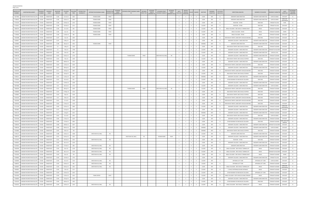| <b>CRASHES REPORTED</b> |
|-------------------------|
| PAGE 2 OF 6             |

| <b>MASTER FIL</b><br><b>NUMBER</b> | <b>INVESTIGATING AGENCY</b>    | <b>OADWAY</b><br><b>NUMBER</b> | ROADWAY<br><b>NAME</b> | MILEPOINT<br><b>DERIVED</b> | COLLISION<br>DATE | COLLISION<br><b>TIME</b> | <b>INTERSECTION</b><br>ROADWAY# | INTERSECTION ROADWAY NAME  | <b>BETWEEN</b><br>NTERSECTION<br>STREET<br><b>ROADWAY SEX</b><br>ROADWAY #1 | BETWEEN STREET ROADWAY NAME<br>#1 | <b>BETWEEN</b><br>STREET SFX 1 | <b>BETWEEN</b><br><b>BETWEEN STREET</b><br><b>STREETS</b><br>ROADWAY NAME #2<br>ROADWAY #2 | <b>BETWEEN</b><br>STREET<br>ROADWAY SFX 2 | UNITS<br>INVOLVED       | MOTO<br>VEHICLES<br>INVOLVED | KILLED INJURED                        | WEATHER       | <b>ROADWAY</b><br>CONDITION | HIT & RUN<br><b>INDICATOR</b> | DIRECTIONAL ANALYSIS                           | MANNER OF COLLISION      | <b>ROADWAY CHARACTER</b>        | <b>LIGHT</b><br>CONDITION | SECONDARY<br>COLLISION<br>INDICATOR |
|------------------------------------|--------------------------------|--------------------------------|------------------------|-----------------------------|-------------------|--------------------------|---------------------------------|----------------------------|-----------------------------------------------------------------------------|-----------------------------------|--------------------------------|--------------------------------------------------------------------------------------------|-------------------------------------------|-------------------------|------------------------------|---------------------------------------|---------------|-----------------------------|-------------------------------|------------------------------------------------|--------------------------|---------------------------------|---------------------------|-------------------------------------|
| 71677982                           | LAKESIDE PK/CRESTVIEW HILLS PD | KY1303                         | <b>TURKEYFOOT</b>      | 5.396                       | 21-Oct-15         | 1602                     |                                 | <b>THOMAS MORE</b>         | <b>PKWY</b>                                                                 |                                   |                                |                                                                                            |                                           |                         | -3                           | $\mathbf{0}$                          | CLEAR         | DRY                         | N                             | SIDESWIPE-SAME DIRECTION                       | SIDESWIPE-SAME DIRECTION | <b>CURVE &amp; GRADE</b>        | DAYLIGHT                  | N                                   |
| 71708410                           | LAKESIDE PK/CRESTVIEW HILLS PD | KY1303                         | <b>TURKEYFOOT</b>      | 5.396                       | 16-Dec-15         | 1844                     |                                 | <b>THOMAS MORE</b>         | <b>PKWY</b>                                                                 |                                   |                                |                                                                                            |                                           |                         |                              | $\overline{0}$                        | CLEAR         | DRY                         |                               | SIDESWIPE-SAME DIRECTION                       | SIDESWIPE-SAME DIRECTION | <b>CURVE &amp; GRADE</b>        | DARK-HW<br>LIGHTED/ON     | N                                   |
| 71752329                           | LAKESIDE PK/CRESTVIEW HILLS PD | KY1303                         | <b>TURKEYFOO</b>       | 5.396                       | 23-Mar-16         | 1242                     |                                 | <b>THOMAS MORE</b>         | PKWY                                                                        |                                   |                                |                                                                                            |                                           | $\overline{2}$          | 2                            | $^{\circ}$<br>$\overline{0}$          | CLEAR         | DRY                         | N                             | REAR END - OTHER                               | <b>REAR END</b>          | STRAIGHT & LEVEL                | <b>DUSK</b>               | N                                   |
| 71732021                           | LAKESIDE PK/CRESTVIEW HILLS PD | KY1303                         | <b>TURKEYFOOT</b>      | 5.396                       | 10-Feb-16         | 1231                     |                                 | <b>THOMAS MORE</b>         | PKWY                                                                        |                                   |                                |                                                                                            |                                           | $\overline{2}$          | 2                            | $^{\circ}$<br>$\overline{0}$          | CLOUDY        | DRY                         |                               | REAR END - OTHER                               | <b>REAR END</b>          | STRAIGHT & LEVEL                | DAYLIGHT                  | N                                   |
| 71803579                           | LAKESIDE PK/CRESTVIEW HILLS PD | KY1303                         | <b>TURKEYFOOT</b>      | 5.396                       | 12-Jul-16         | 810                      |                                 | <b>THOMAS MORE</b>         | PKWY                                                                        |                                   |                                |                                                                                            |                                           | $\overline{2}$          | 2                            | $^{\circ}$<br>$\overline{0}$          | CLOUDY        | DRY                         |                               | ANGLE COLLISION - ONE VEHICLE TURNING RIGHT    | ANGLE                    | STRAIGHT & GRADE                | DAYLIGHT                  | N                                   |
| 71716722                           | LAKESIDE PK/CRESTVIEW HILLS PD | KY1303                         | TURKEYFOOT             | 5.396                       | 6-Jan-16          | 725                      |                                 | <b>THOMAS MORE</b>         | PKWY                                                                        |                                   |                                |                                                                                            |                                           | $\overline{2}$          | $\overline{2}$               | $\mathbf{0}$<br>$\overline{0}$        | <b>CLOUDY</b> | DRY                         | N                             | ANGLE COLLISION - OTHER                        | ANGLE                    | STRAIGHT & GRADE                | DAWN                      | N                                   |
| 71749460                           | LAKESIDE PK/CRESTVIEW HILLS PD | KY1303                         | TURKEYFOOT             | 5.396                       | 21-Mar-16         | 906                      |                                 | <b>THOMAS MORE</b>         | PKWY                                                                        |                                   |                                |                                                                                            |                                           | $\overline{2}$          | $\overline{2}$               | $\mathbf{0}$<br>$\overline{0}$        | CLEAR         | DRY                         | N                             | ANGLE COLLISION - OTHER                        | ANGLE                    | <b>STRAIGHT &amp; GRADE</b>     | DAYLIGHT                  | N                                   |
| 71401988                           | LAKESIDE PK/CRESTVIEW HILLS PD | KY1303                         | TURKEYFOOT             | 5.397                       | 4-Jan-14          | 1644                     |                                 |                            |                                                                             |                                   |                                |                                                                                            |                                           | $\overline{2}$          | $\overline{2}$               | $\mathbf{0}$<br>$\overline{0}$        | CLEAR         | DRY                         |                               | REAR END IN TRAFFIC LANES BOTH VEHICLES MOVING | <b>REAR END</b>          | <b>STRAIGHT &amp; GRADE</b>     | DAYLIGHT                  | N                                   |
| 71449957                           | LAKESIDE PK/CRESTVIEW HILLS PD | KY1303                         | TURKEYFOOT             | 5.397                       | 6-May-14          | 1245                     |                                 |                            |                                                                             |                                   |                                |                                                                                            |                                           | $\overline{2}$          | $\overline{2}$               | $\mathbf{0}$<br>$\overline{0}$        | CLEAR         | DRY                         | N                             | SIDESWIPE COLLISION - SAME DIRECTION           | SIDESWIPE-SAME DIRECTION | <b>STRAIGHT &amp; GRADE</b>     | DAYLIGHT                  | N                                   |
| 71446882                           | LAKESIDE PK/CRESTVIEW HILLS PD | KY1303                         | TURKEYFOOT             | 5.398                       | 28-Apr-14         | 1055                     |                                 | <b>THOMAS MORE</b>         | PKWY                                                                        |                                   |                                |                                                                                            |                                           | $\overline{2}$          | $\overline{2}$               | $^{\circ}$<br>$\overline{\mathbf{0}}$ | RAINING       | WET                         | N                             | SIDESWIPE-SAME DIRECTION                       | SIDESWIPE-SAME DIRECTION | <b>STRAIGHT &amp; GRADE</b>     | DAYLIGHT                  | N                                   |
| 71601873                           | LAKESIDE PK/CRESTVIEW HILLS PD | KY1303                         | TURKEYFOOT             | 5.4                         | 1-May-15          | 1250                     |                                 |                            |                                                                             |                                   |                                |                                                                                            |                                           | $\overline{2}$          | $\overline{2}$               | $^{\circ}$<br>$\overline{0}$          | CLEAR         | DRY                         | N                             | REAR END IN TRAFFIC ONE VEHICLE STOPPED        | <b>REAR END</b>          | <b>STRAIGHT &amp; GRADE</b>     | DAYLIGHT                  | N                                   |
| 71702716                           | LAKESIDE PK/CRESTVIEW HILLS PD | KY1303                         | TURKEYFOOT             | 5.4                         | 7-Dec-15          | 1708                     |                                 |                            |                                                                             |                                   |                                |                                                                                            |                                           | $\overline{2}$          | $\overline{2}$               | $^{\circ}$<br>$\overline{0}$          | <b>CLOUDY</b> | DRY                         | N                             | SIDESWIPE COLLISION - SAME DIRECTION           | SIDESWIPE-SAME DIRECTION | <b>STRAIGHT &amp; HILLCREST</b> | DAYLIGHT                  | N                                   |
| 71905032                           | LAKESIDE PK/CRESTVIEW HILLS PD | KY1303                         | TURKEYFOOT             | 5.401                       | 5-Dec-16          | 830                      |                                 |                            |                                                                             |                                   |                                |                                                                                            |                                           | 2                       | - 2                          | $\Omega$<br>$\mathbf{0}$              | CLOUDY        | DRY                         | N                             | SIDESWIPE COLLISION - SAME DIRECTION           | SIDESWIPE-SAME DIRECTION | CURVE & LEVEL                   | DAYLIGHT                  | N                                   |
| 71690748                           | LAKESIDE PK/CRESTVIEW HILLS PD | KY1303                         | TURKEYFOOT             | 5.402                       | 10-Nov-15         | 1729                     |                                 |                            |                                                                             | THOMAS MORE                       | PKWY                           | CRESTVIEW HILL MALL                                                                        | <b>RD</b>                                 | 2                       | 2                            | $\overline{0}$                        | CLEAR         | DRY                         | N                             | SIDESWIPE COLLISION - SAME DIRECTION           | SIDESWIPE-SAME DIRECTION | STRAIGHT & GRADE                | DAYLIGHT                  | N                                   |
| 71702713                           | LAKESIDE PK/CRESTVIEW HILLS PD | KY1303                         | <b>TURKEYFOOT</b>      | 5.402                       | 7-Dec-15          | 1340                     |                                 |                            |                                                                             |                                   |                                |                                                                                            |                                           | $\overline{2}$          |                              | $\overline{0}$                        | <b>CLOUD</b>  | DRY                         |                               | REAR END IN TRAFFIC ONE VEHICLE STOPPED        | <b>REAR END</b>          | <b>STRAIGHT &amp; GRADE</b>     | DAYLIGHT                  | N                                   |
| 71752332                           | LAKESIDE PK/CRESTVIEW HILLS PD | KY1303                         | <b>TURKEYFOOT</b>      | 5.402                       | 28-Mar-16         | 1623                     |                                 |                            |                                                                             |                                   |                                |                                                                                            |                                           |                         |                              | $\overline{0}$                        | CLEAR         | DRY                         |                               | SIDESWIPE COLLISION - SAME DIRECTION           | SIDESWIPE-SAME DIRECTION | STRAIGHT & GRADE                | DAYLIGHT                  | N                                   |
| 71543557                           | LAKESIDE PK/CRESTVIEW HILLS PD | KY1303                         | <b>TURKEYFOOT</b>      | 5.404                       | 12-Dec-14         | 1650                     |                                 |                            |                                                                             |                                   |                                |                                                                                            |                                           |                         |                              | $\overline{0}$                        | CLEAR         | DRY                         |                               | REAR END IN TRAFFIC LANES BOTH VEHICLES MOVING | <b>REAR END</b>          | STRAIGHT & GRADE                | DAYLIGHT                  | N                                   |
| 71857904                           | LAKESIDE PK/CRESTVIEW HILLS PD | KY1303                         | <b>TURKEYFOOT</b>      | 5.407                       | 28-Sep-16         | 1140                     |                                 |                            |                                                                             |                                   |                                |                                                                                            |                                           |                         |                              | $\overline{0}$                        | CLOUDY        | <b>DRY</b>                  |                               | SIDESWIPE COLLISION - SAME DIRECTION           | SIDESWIPE-SAME DIRECTION | STRAIGHT & LEVEL                | DAYLIGHT                  | N                                   |
| 71505494                           | LAKESIDE PK/CRESTVIEW HILLS PD | KY1303                         | TURKEYFOOT             | 5.411                       | 24-Sep-14         | 1807                     |                                 |                            |                                                                             |                                   |                                |                                                                                            |                                           | $\overline{2}$          |                              | $\overline{0}$                        | CLEAR         | DRY                         |                               | REAR END IN TRAFFIC LANES BOTH VEHICLES MOVING | <b>REAR END</b>          | <b>STRAIGHT &amp; GRADE</b>     | DAYLIGHT                  | N                                   |
| 71502062                           | LAKESIDE PK/CRESTVIEW HILLS PD | KY1303                         | <b>TURKEYFOOT</b>      | 5.418                       | 16-Sep-14         | 905                      |                                 |                            |                                                                             |                                   |                                |                                                                                            |                                           | $\overline{2}$          |                              | $\overline{0}$                        | <b>CLOUDY</b> | DRY                         |                               | REAR END IN TRAFFIC ONE VEHICLE STOPPED        | <b>REAR END</b>          | <b>STRAIGHT &amp; GRADE</b>     | DAYLIGHT                  | N                                   |
| 71528121                           | LAKESIDE PK/CRESTVIEW HILLS PD | KY1303                         | <b>TURKEYFOOT</b>      | 5.421                       | 11-Nov-14         | 1817                     |                                 |                            |                                                                             |                                   |                                |                                                                                            |                                           | $\overline{2}$          |                              | $\overline{0}$                        | RAINING       | WET                         |                               | SIDESWIPE COLLISION - SAME DIRECTION           | SIDESWIPE-SAME DIRECTION | <b>STRAIGHT &amp; GRADE</b>     | DAYLIGHT                  | N                                   |
| 71720395                           | LAKESIDE PK/CRESTVIEW HILLS PD | KY1303                         | <b>TURKEYFOOT</b>      | 5.422                       | 14-Jan-16         | 815                      |                                 |                            |                                                                             |                                   |                                |                                                                                            |                                           | $\overline{2}$          |                              | $^{\circ}$<br>$\overline{0}$          | <b>CLOUDY</b> | <b>DRY</b>                  | N                             | OTHER ROADWAY OR MID-BLOCK COLLISION           | <b>REAR FND</b>          | <b>STRAIGHT &amp; GRADE</b>     | DAYLIGHT                  | N                                   |
| 71747394                           | LAKESIDE PK/CRESTVIEW HILLS PD | KY1303                         | <b>TURKEYFOO</b>       | 5.427                       | 15-Mar-16         | 1658                     |                                 |                            |                                                                             |                                   |                                |                                                                                            |                                           | $\overline{2}$          | $\overline{2}$               | $\Omega$<br>$\overline{0}$            | CLEAR         | <b>DRY</b>                  | N                             | SIDESWIPE COLLISION - SAME DIRECTION           | SIDESWIPE-SAME DIRECTION | <b>STRAIGHT &amp; GRADE</b>     | DAYLIGHT                  | N                                   |
| 71874486                           | LAKESIDE PK/CRESTVIEW HILLS PD | KY1303                         | <b>TURKEYFOOT</b>      | 5.43                        | 18-Oct-16         | 1722                     |                                 |                            |                                                                             |                                   |                                |                                                                                            |                                           | $\overline{2}$          | $\overline{2}$               | $^{\circ}$<br>$\overline{0}$          | <b>CLOUDY</b> | DRY                         | N                             | SIDESWIPE COLLISION - SAME DIRECTION           | SIDESWIPE-SAME DIRECTION | <b>CURVE &amp; GRADE</b>        | DAYLIGHT                  | N                                   |
| 71666304                           | LAKESIDE PK/CRESTVIEW HILLS PD | KY1303                         | <b>TURKEYFOOT</b>      | 5.431                       | 28-Sep-15         | 1649                     |                                 |                            |                                                                             | THOMAS MORE                       | PKWY                           | CRESTVIEW HILL MAL                                                                         | <b>RD</b>                                 | $\overline{2}$          | 2                            | $^{\circ}$<br>$\overline{0}$          | CLOUDY        | DRY                         | <b>N</b>                      | REAR END IN TRAFFIC LANES BOTH VEHICLES MOVING | <b>REAR END</b>          | <b>STRAIGHT &amp; GRADE</b>     | DAYLIGHT                  | N                                   |
| 71458096                           | LAKESIDE PK/CRESTVIEW HILLS PD | KY1303                         | <b>TURKEYFOOT</b>      | 5.434                       | 27-May-14         | 1235                     |                                 |                            |                                                                             |                                   |                                |                                                                                            |                                           | $\overline{2}$          | 2                            | $\Omega$<br>$\overline{0}$            | CLEAR         | DRY                         | <b>N</b>                      | REAR END IN TRAFFIC ONE VEHICLE STOPPED        | <b>REAR END</b>          | <b>STRAIGHT &amp; GRADE</b>     | DAYLIGHT                  | N                                   |
| 71439087                           | LAKESIDE PK/CRESTVIEW HILLS PD | KY1303                         | <b>TURKEYFOOT</b>      | 5.443                       | 9-Apr-14          | 1540                     |                                 |                            |                                                                             |                                   |                                |                                                                                            |                                           | $\overline{2}$          | 2                            | $\Omega$<br>$\overline{0}$            | CLEAR         | DRY                         | N                             | REAR END IN TRAFFIC ONE VEHICLE STOPPED        | <b>REAR END</b>          | <b>STRAIGHT &amp; GRADE</b>     | DAYLIGHT                  | N                                   |
| 71524103                           | LAKESIDE PK/CRESTVIEW HILLS PD | KY1303                         | <b>TURKEYFOOT</b>      | 5.45                        | 3-Nov-14          | 1330                     |                                 |                            |                                                                             |                                   |                                |                                                                                            |                                           | $\overline{2}$          | 2                            | $^{\circ}$                            | CLEAR         | DRY                         |                               | REAR END IN TRAFFIC LANES BOTH VEHICLES MOVING | <b>REAR END</b>          | STRAIGHT & GRADE                | DAYLIGHT                  | N                                   |
| 71633458                           | LAKESIDE PK/CRESTVIEW HILLS PD | KY1303                         | <b>TURKEYFOOT</b>      | 5.461                       | 17-Jul-15         | 1200                     |                                 |                            |                                                                             |                                   |                                |                                                                                            |                                           | $\overline{2}$          | 2                            | $^{\circ}$<br>$\overline{0}$          | CLEAR         | DRY                         |                               | REAR END IN TRAFFIC LANES BOTH VEHICLES MOVING | <b>REAR END</b>          | STRAIGHT & GRADE                | DAYLIGHT                  | N                                   |
| 71693426                           | LAKESIDE PK/CRESTVIEW HILLS PD | KY1303                         | <b>TURKEYFOOT</b>      | 5.464                       | 17-Nov-15         | 1105                     |                                 |                            |                                                                             |                                   |                                |                                                                                            |                                           | $\overline{2}$          | 2                            | $^{\circ}$<br>$\overline{0}$          | CLEAR         | DRY                         |                               | REAR END IN TRAFFIC LANES BOTH VEHICLES MOVING | <b>REAR END</b>          | STRAIGHT & GRADE                | DAYLIGHT                  | N                                   |
| 71711259                           | LAKESIDE PK/CRESTVIEW HILLS PD | KY1303                         | <b>TURKEYFOOT</b>      | 5.469                       | 22-Dec-15         | 1849                     |                                 |                            |                                                                             |                                   |                                |                                                                                            |                                           | $\overline{2}$          | $\overline{2}$               | $\mathbf{0}$<br>$\overline{0}$        | <b>CLOUDY</b> | DRY                         | N                             | SIDESWIPE COLLISION - SAME DIRECTION           | SIDESWIPE-SAME DIRECTION | <b>STRAIGHT &amp; GRADE</b>     | DARK-HWY<br>LIGHTED/ON    | N                                   |
| 71853865                           | LAKESIDE PK/CRESTVIEW HILLS PD | KY1303                         | TURKEYFOOT             | 5.473                       | 21-Sep-16         | 1242                     |                                 |                            |                                                                             |                                   |                                |                                                                                            |                                           | $\overline{2}$          | $\overline{2}$               | $\mathbf{0}$<br>$\overline{0}$        | CLEAR         | DRY                         | N                             | SIDESWIPE COLLISION - SAME DIRECTION           | SIDESWIPE-SAME DIRECTION | <b>STRAIGHT &amp; GRADE</b>     | DAYLIGHT                  | N                                   |
| 71642176                           | LAKESIDE PK/CRESTVIEW HILLS PD | KY1303                         | TURKEYFOOT             | 5.477                       | 6-Aug-15          | 1631                     |                                 |                            |                                                                             |                                   |                                |                                                                                            |                                           | $\overline{2}$          | 2                            | $\mathbf{0}$<br>$\overline{0}$        | RAINING       | WET                         | N                             | SIDESWIPE COLLISION - SAME DIRECTION           | SIDESWIPE-SAME DIRECTION | <b>STRAIGHT &amp; GRADE</b>     | DAYLIGHT                  | N                                   |
| 71803583                           | LAKESIDE PK/CRESTVIEW HILLS PD | KY1303                         | <b>TURKEYFOOT</b>      | 5.481                       | 13-Jul-16         | 1810                     |                                 |                            |                                                                             |                                   |                                |                                                                                            |                                           | $\overline{\mathbf{3}}$ | -3                           | $^{\circ}$<br>$\overline{0}$          | CLEAR         | DRY                         | N                             | REAR END IN TRAFFIC ONE VEHICLE STOPPED        | <b>REAR END</b>          | <b>CURVE &amp; GRADE</b>        | DAYLIGHT                  | N                                   |
| 71707340                           | LAKESIDE PK/CRESTVIEW HILLS PD | KY1303                         | <b>TURKEYFOOT</b>      | 5.485                       | 17-Dec-15         | 1629                     |                                 |                            |                                                                             |                                   |                                |                                                                                            |                                           | $\overline{2}$          | -2                           | $\mathbf{0}$<br>$\overline{0}$        | CLEAR         | DRY                         | N                             | SIDESWIPE COLLISION - SAME DIRECTION           | SIDESWIPE-SAME DIRECTION | <b>STRAIGHT &amp; GRADE</b>     | DAYLIGHT                  | N                                   |
| 71423513                           | LAKESIDE PK/CRESTVIEW HILLS PD | KY1303                         | <b>TURKFYFOOT</b>      | 5.486                       | 27-Feb-14         | 2005                     |                                 |                            |                                                                             |                                   |                                |                                                                                            |                                           |                         |                              | $^{\circ}$                            | <b>CLEAR</b>  | DRY                         |                               | OTHER ROADWAY OR MID-BLOCK COLLISION           | <b>REAR END</b>          | <b>STRAIGHT &amp; GRADE</b>     | DARK-HWY NOT<br>LIGHTED   |                                     |
| 71584429                           | LAKESIDE PK/CRESTVIEW HILLS PD | KY1303                         | <b>TURKEYFOOT</b>      | 5.486                       | 18-Mar-15         | 1647                     |                                 |                            |                                                                             |                                   |                                |                                                                                            |                                           | $\overline{2}$          | 2                            | $^{\circ}$<br>$\overline{0}$          | CLEAR         | DRY                         | N                             | SIDESWIPE COLLISION - SAME DIRECTION           | SIDESWIPE-SAME DIRECTION | <b>STRAIGHT &amp; HILLCREST</b> | DAYLIGHT                  | N                                   |
| 71900166                           | LAKESIDE PK/CRESTVIEW HILLS PD | KY1303                         | TURKEYFOOT             | 5.486                       | 28-Nov-16         | 1504                     |                                 |                            |                                                                             |                                   |                                |                                                                                            |                                           | 2                       | 2                            | $^{\circ}$<br>$\overline{0}$          | RAINING       | WET                         | N                             | SIDESWIPE COLLISION - SAME DIRECTION           | SIDESWIPE-SAME DIRECTION | <b>CURVE &amp; GRADE</b>        | DAYLIGHT                  | N                                   |
| 71543866                           | LAKESIDE PK/CRESTVIEW HILLS PD | KY1303                         | TURKEYFOOT             | 5.487                       | 9-Dec-14          | 730                      |                                 |                            |                                                                             |                                   |                                |                                                                                            |                                           | 2                       | 2                            | $\circ$<br>$\overline{0}$             | RAINING       | WET                         | N                             | REAR END IN TRAFFIC ONE VEHICLE STOPPED        | <b>REAR END</b>          | <b>STRAIGHT &amp; GRADE</b>     | DAYLIGHT                  | N                                   |
| 71705137                           | LAKESIDE PK/CRESTVIEW HILLS PD | KY1303                         | TURKEYFOOT             | 5.488                       | 10-Dec-15         | 1608                     |                                 | CRESTVIEW HILL MALL        | <b>RD</b>                                                                   |                                   |                                |                                                                                            |                                           | $\overline{2}$          | 2                            | $\circ$<br>$\overline{0}$             | CLOUDY        | <b>DRY</b>                  | N                             | SIDESWIPE-SAME DIRECTION                       | SIDESWIPE-SAME DIRECTION | STRAIGHT & GRADE                | DAYLIGHT                  | N <sub>N</sub>                      |
| 71696755                           | LAKESIDE PK/CRESTVIEW HILLS PD | KY1303                         | <b>TURKEYFOOT</b>      | 5.491                       | 23-Nov-15         | 1455                     |                                 |                            |                                                                             | CRESTVIEW HILL MALL               | <b>RD</b>                      | <b>THOMAS MORE</b>                                                                         | PKWY                                      | $\overline{2}$          | 2                            | $^{\circ}$<br>$\overline{0}$          | CLEAR         | DRY                         | N                             | SIDESWIPE COLLISION - SAME DIRECTION           | SIDESWIPE-SAME DIRECTION | <b>STRAIGHT &amp; GRADE</b>     | DAYLIGHT                  | N                                   |
| 71737207                           | LAKESIDE PK/CRESTVIEW HILLS PD | KY1303                         | <b>TURKEYFOOT</b>      | 5.491                       | 20-Feb-16         | 1035                     |                                 | <b>CRESTVIEW HILL MALL</b> | <b>RD</b>                                                                   |                                   |                                |                                                                                            |                                           | $\overline{2}$          | 2                            | $^{\circ}$<br>$\overline{0}$          | CLEAR         | DRY                         | N                             | REAR END - OTHER                               | REAR END                 | STRAIGHT & GRADE                | DAYLIGHT                  | N                                   |
| 71465823                           | LAKESIDE PK/CRESTVIEW HILLS PD | KY1303                         | <b>TURKEYFOOT</b>      | 5.492                       | 16-Jun-14         | 1550                     |                                 |                            |                                                                             |                                   |                                |                                                                                            |                                           | $\overline{2}$          | 2                            | $\overline{0}$<br>$^{\circ}$          | CLEAR         | DRY                         | N                             | SIDESWIPE COLLISION - SAME DIRECTION           | SIDESWIPE-SAME DIRECTION | STRAIGHT & LEVEL                | DAYLIGHT                  | N                                   |
| 71576923                           | LAKESIDE PK/CRESTVIEW HILLS PD | KY1303                         | TURKEYFOOT             | 5.492                       | 27-Feb-15         | 858                      |                                 | CRESTVIEW HILL MALL        | <b>RD</b>                                                                   |                                   |                                |                                                                                            |                                           | $\overline{2}$          |                              | $^{\circ}$                            | CLEAR         | DRY                         |                               | SIDESWIPE-SAME DIRECTION                       | SIDESWIPE-SAME DIRECTION | <b>STRAIGHT &amp; GRADE</b>     | DAYLIGHT                  | N                                   |
| 71402494                           | LAKESIDE PK/CRESTVIEW HILLS PD | KY1303                         | <b>TURKEYFOOT</b>      | 5.493                       | 8-Jan-14          | 1218                     |                                 | CRESTVIEW HILL MALL        | <b>RD</b>                                                                   |                                   |                                |                                                                                            |                                           | $\overline{2}$          |                              | $^{\circ}$<br>$\overline{0}$          | <b>CLOUDY</b> | DRY                         | N                             | ANGLE COLLISION - ONE VEHICLE TURNING LEFT     | ANGLE                    | <b>STRAIGHT &amp; GRADE</b>     | DAYLIGHT                  | N                                   |
| 71468103                           | LAKESIDE PK/CRESTVIEW HILLS PD | KY1303                         | TURKEYFOOT             | 5.493                       | 18-Jun-14         | 1528                     |                                 | CRESTVIEW HILL MALL        | <b>RD</b>                                                                   |                                   |                                |                                                                                            |                                           | $\overline{\mathbf{3}}$ |                              | $^{\circ}$<br>$\overline{0}$          | CLOUDY        | DRY                         | N                             | ANGLE COLLISION - ONE VEHICLE TURNING LEFT     | ANGLE                    | <b>STRAIGHT &amp; HILLCREST</b> | DAYLIGHT                  | N                                   |
| 71553393                           | LAKESIDE PK/CRESTVIEW HILLS PD | KY1303                         | TURKEYFOOT             | 5.493                       | 8-Jan-15          | 744                      |                                 | CRESTVIEW HILL MALL        | <b>RD</b>                                                                   |                                   |                                |                                                                                            |                                           | $\overline{2}$          | $\overline{2}$               | $^{\circ}$<br>$\overline{0}$          | CLEAR         | DRY                         | N                             | ANGLE COLLISION - ONE VEHICLE TURNING RIGHT    | ANGLE                    | <b>STRAIGHT &amp; GRADE</b>     | DAWN                      | N                                   |
| 71569682                           | LAKESIDE PK/CRESTVIEW HILLS PD | KY1303                         | TURKEYFOOT             | 5.493                       | 13-Feb-15         | 1745                     |                                 |                            |                                                                             |                                   |                                |                                                                                            |                                           | $\overline{2}$          | $\overline{2}$               | $^{\circ}$<br>$\overline{0}$          | CLEAR         | DRY                         | N                             | SIDESWIPE COLLISION - SAME DIRECTION           | SIDESWIPE-SAME DIRECTION | STRAIGHT & LEVEL                | DAYLIGHT                  | N                                   |
| 71630840                           | LAKESIDE PK/CRESTVIEW HILLS PD | KY1303                         | <b>TURKEYFOOT</b>      | 5.493                       | 10-Jul-15         | 1514                     |                                 | CRESTVIEW HILL MALL        | RD                                                                          |                                   |                                |                                                                                            |                                           | $\overline{2}$          | $\overline{2}$               | $^{\circ}$<br>$\overline{0}$          | <b>CLOUDY</b> | DRY                         | Y                             | OPPOSING LEFT TURN                             | OPPOSING LEFT TURN       | <b>CURVE &amp; GRADE</b>        | DAYLIGHT                  | N                                   |
| 71689352                           | LAKESIDE PK/CRESTVIEW HILLS PD | KY1303                         | <b>TURKEYFOOT</b>      | 5.493                       | 10-Nov-15         | 905                      |                                 | CRESTVIEW HILL MALL        | <b>RD</b>                                                                   |                                   |                                |                                                                                            |                                           | $\overline{2}$          | 2                            | $^{\circ}$<br>$\overline{0}$          | CLOUDY        | <b>DRY</b>                  | N                             | OPPOSING LEFT TURN                             | OPPOSING LEFT TURN       | STRAIGHT & GRADE                | DAYLIGHT                  | N                                   |
| 71694097                           | LAKESIDE PK/CRESTVIEW HILLS PD | KY1303                         | <b>TURKEYFOOT</b>      | 5.493                       | 20-Nov-15         | 1955                     |                                 | CRESTVIEW HILL MALL        | <b>RD</b>                                                                   |                                   |                                |                                                                                            |                                           | $\overline{2}$          | $\overline{2}$               | $^{\circ}$                            | CLEAR         | DRY                         | N                             | ANGLE COLLISION - ONE VEHICLE TURNING LEFT     | ANGLE                    | <b>STRAIGHT &amp; GRADE</b>     | DARK-HWY                  | N.                                  |
| 71903853                           | LAKESIDE PK/CRESTVIEW HILLS PD | KY1303                         | <b>TURKEYFOOT</b>      | 5.493                       | 1-Dec-16          | 1157                     |                                 |                            |                                                                             |                                   |                                |                                                                                            |                                           | $\overline{2}$          | $\overline{2}$               | $^{\circ}$<br>$\overline{0}$          | CLOUDY        | <b>DRY</b>                  | N                             | 1 VEHICLE ENTERING/LEAVING ENTRANCE            | ANGLE                    | STRAIGHT & GRADE                | LIGHTED/ON<br>DAYLIGHT    | N                                   |
| 71920097                           | LAKESIDE PK/CRESTVIEW HILLS PD | KY1303                         | TURKEYFOOT             | 5.493                       | 22-Dec-16         | 1025                     |                                 |                            |                                                                             |                                   |                                |                                                                                            |                                           | $\overline{2}$          | 2                            | $\mathbf{0}$<br>$\overline{0}$        | <b>CLOUDY</b> | DRY                         | N                             | OTHER ROADWAY OR MID-BLOCK COLLISION           | OPPOSING LEFT TURN       | STRAIGHT & GRADE                | DAYLIGHT                  | N                                   |
| 71913926                           | LAKESIDE PK/CRESTVIEW HILLS PD | KY1303                         | TURKEYFOOT             | 5.493                       | 13-Dec-16         | 1422                     |                                 | <b>TOWN CENTER</b>         | BLVD                                                                        |                                   |                                |                                                                                            |                                           | $\overline{2}$          | $\overline{2}$               | $\mathbf{0}$<br>$\overline{0}$        | <b>CLOUDY</b> | DRY                         | N                             | ANGLE COLLISION - BOTH VEHICLES GOING STRAIGHT | ANGLE                    | STRAIGHT & GRADE                | DAYLIGHT                  | N                                   |
| 71506859                           | LAKESIDE PK/CRESTVIEW HILLS PD | KY1303                         | TURKEYFOOT             | 5.494                       | 25-Sep-14         | 1505                     |                                 |                            |                                                                             |                                   |                                |                                                                                            |                                           | $\overline{2}$          | 2                            | $\mathbf{0}$<br>$\overline{0}$        | CLEAR         | DRY                         | N                             | SIDESWIPE COLLISION - SAME DIRECTION           | SIDESWIPE-SAME DIRECTION | STRAIGHT & GRADE                | DAYLIGHT                  | N                                   |
| 71531619                           | LAKESIDE PK/CRESTVIEW HILLS PD | KY1303                         | TURKEYFOOT             | 5.494                       | 18-Nov-14         | 1405                     |                                 |                            |                                                                             |                                   |                                |                                                                                            |                                           | 2                       | $\overline{2}$               | $\overline{0}$<br>$\mathbf{1}$        | CLOUDY        | DRY                         | N                             | OTHER ROADWAY OR MID-BLOCK COLLISION           | <b>REAR END</b>          | STRAIGHT & GRADE                | DAYLIGHT                  | N                                   |
| 71542352                           | LAKESIDE PK/CRESTVIEW HILLS PD | KY1303                         | TURKEYFOOT             | 5.494                       | 10-Dec-14         | 1245                     |                                 | CRESTVIEW HILL MALL        | <b>RD</b>                                                                   |                                   |                                |                                                                                            |                                           | $\overline{2}$          | $\overline{2}$               | $\mathbf 0$<br>$\overline{0}$         | CLOUDY        | <b>DRY</b>                  | N                             | ANGLE COLLISION - ONE VEHICLE TURNING LEFT     | ANGLE                    | STRAIGHT & GRADE                | DAYLIGHT                  | N                                   |
|                                    |                                |                                |                        |                             |                   |                          |                                 |                            |                                                                             |                                   |                                |                                                                                            |                                           |                         |                              |                                       |               |                             |                               |                                                |                          |                                 |                           |                                     |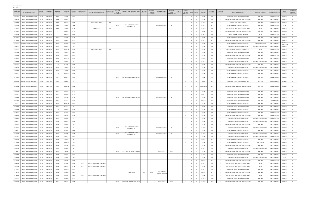| <b>MASTER FIL</b><br><b>NUMBER</b> | <b>INVESTIGATING AGENCY</b>                    | ROADWAY<br>NUMBER | ROADWAY<br><b>NAME</b> | <b>MILEPOINT</b><br><b>DERIVED</b> | COLLISION<br>DATE | COLLISION<br>TIME | INTERSECTION<br>ROADWAY# | INTERSECTION ROADWAY NAME          | <b>BETWEEN</b><br>NTERSECTION<br><b>STREET</b><br><b>ROADWAY SFX</b><br>ROADWAY #1 | BETWEEN STREET ROADWAY NAME                       | <b>BETWEEN</b><br>STREET SFX 1 | <b>BETWEEN</b><br><b>STREETS</b><br>ROADWAY #2 | <b>BETWEEN STREET</b><br>ROADWAY NAME #2 | <b>BETWEEN</b><br>UNITS<br>STREET<br>INVOLVED<br>ROADWAY SFX 2 | <b>MOTO</b><br>VEHICLES<br>INVOLVED | KILLED INJURED |                         | WEATHER       | <b>ROADWAY</b><br>CONDITION | HIT & RUN<br><b>INDICATOR</b> | DIRECTIONAL ANALYSIS                           | MANNER OF COLLISION      | <b>ROADWAY CHARACTEI</b>    | <b>LIGHT</b><br>CONDITION | SECONDARY<br>COLLISION<br><b>INDICATOR</b> |
|------------------------------------|------------------------------------------------|-------------------|------------------------|------------------------------------|-------------------|-------------------|--------------------------|------------------------------------|------------------------------------------------------------------------------------|---------------------------------------------------|--------------------------------|------------------------------------------------|------------------------------------------|----------------------------------------------------------------|-------------------------------------|----------------|-------------------------|---------------|-----------------------------|-------------------------------|------------------------------------------------|--------------------------|-----------------------------|---------------------------|--------------------------------------------|
| 71561824                           | LAKESIDE PK/CRESTVIEW HILLS PD                 | KY1303            | <b>TURKEYFOOT</b>      | 5.494                              | 27-Jan-15         | 1255              |                          |                                    |                                                                                    |                                                   |                                |                                                |                                          |                                                                | $\overline{2}$                      | $\Omega$       | $\overline{0}$          | CLEAR         | DRY                         | N                             | REAR END IN TRAFFIC ONE VEHICLE STOPPED        | <b>REAR END</b>          | <b>STRAIGHT &amp; GRADE</b> | DAYLIGHT                  | $\mathsf{N}$                               |
| 71849585                           | LAKESIDE PK/CRESTVIEW HILLS PD                 | KY1303            | <b>TURKEYFOOT</b>      | 5.496                              | 15-Sep-16         | 825               |                          |                                    |                                                                                    |                                                   |                                |                                                |                                          |                                                                |                                     | $\Omega$       | - 0                     | CLEAR         | DRY                         |                               | REAR END IN TRAFFIC LANES BOTH VEHICLES MOVING | <b>REAR END</b>          | STRAIGHT & LEVEL            | DAYLIGHT                  |                                            |
| 71546495                           | LAKESIDE PK/CRESTVIEW HILLS PD                 | KY1303            | TURKEYFOOT             | 5.498                              | 18-Dec-14         | 1252              |                          | CRESTVIEW HILL MALL                | <b>RD</b>                                                                          | 1275 E EXIT82 OFF RAMP TO                         |                                |                                                |                                          | $\overline{2}$                                                 | 2                                   | $^{\circ}$     | $\overline{0}$          | <b>CLOUDY</b> | DRY                         | N                             | REAR END - ONE VEHICLE STOPPED                 | REAR END                 | STRAIGHT & GRADE            | DAYLIGHT                  |                                            |
| 71468299                           | LAKESIDE PK/CRESTVIEW HILLS PD                 | KY1303            | TURKEYFOOT             | 5.499                              | 23-Jun-14         | 2044              |                          |                                    | I0275                                                                              | <b>TURKEYFOOT RD</b>                              |                                |                                                | CRESTVIEW HILL MALL                      | <b>RD</b><br>$\overline{\mathbf{3}}$                           |                                     | $^{\circ}$     | $\overline{0}$          | <b>CLOUDY</b> | WET                         | N                             | OTHER ROADWAY OR MID-BLOCK COLLISION           | <b>REAR END</b>          | STRAIGHT & GRADE            | DUSK                      |                                            |
| 71793291                           | LAKESIDE PK/CRESTVIEW HILLS PD                 | KY1303            | TURKEYFOOT             | 5.499                              | 23-Jun-16         | 1143              |                          | <b>TOWN CENTER</b>                 | BLVD                                                                               |                                                   |                                |                                                |                                          | $\overline{2}$                                                 |                                     | $^{\circ}$     | $\overline{0}$          | <b>CLOUDY</b> | DRY                         |                               | ANGLE COLLISION - ONE VEHICLE TURNING RIGHT    | ANGLE                    | STRAIGHT & LEVEL            | DAYLIGHT                  |                                            |
| 71422472                           | LAKESIDE PK/CRESTVIEW HILLS PD                 | KY1303            | TURKEYFOOT             | 5.5                                | 18-Feb-14         | 1145              |                          |                                    |                                                                                    |                                                   |                                |                                                |                                          | $\overline{2}$                                                 | $\overline{2}$                      | $\mathbf{0}$   | $\overline{0}$          | CLEAR         | WET                         | N                             | REAR END IN TRAFFIC LANES BOTH VEHICLES MOVING | <b>REAR END</b>          | STRAIGHT & LEVEL            | DAYLIGHT                  |                                            |
| 71491868                           | LAKESIDE PK/CRESTVIEW HILLS PD                 | KY1303            | TURKEYFOOT             | 5.5                                | 21-Aug-14         | 1848              |                          |                                    |                                                                                    |                                                   |                                |                                                |                                          | $\overline{2}$                                                 | $\overline{2}$                      | $\mathbf{0}$   | $\mathbf{1}$            | CLOUDY        | DRY                         | N                             | 1 VEHICLE ENTERING/LEAVING ENTRANCE            | ANGLE                    | STRAIGHT & GRADE            | DAYLIGHT                  |                                            |
| 71404802                           | LAKESIDE PK/CRESTVIEW HILLS PD                 | KY1303            | TURKEYFOOT             | 5.501                              | 14-Jan-14         | 1542              |                          |                                    |                                                                                    |                                                   |                                |                                                |                                          | $\overline{2}$                                                 | $\overline{2}$                      | $\mathbf{0}$   | $\overline{0}$          | CLEAR         | DRY                         | N                             | OTHER ROADWAY OR MID-BLOCK COLLISION           | REAR END                 | STRAIGHT & LEVEL            | DAYLIGHT                  |                                            |
| 71734155                           | LAKESIDE PK/CRESTVIEW HILLS PD                 | KY1303            | TURKEYFOOT             | 5.501                              | 15-Feb-16         | 1645              |                          |                                    |                                                                                    |                                                   |                                |                                                |                                          | $\overline{2}$                                                 | $\overline{2}$                      | $\mathbf{0}$   | $\overline{0}$          | <b>CLOUDY</b> | WET                         | N                             | REAR END IN TRAFFIC LANES BOTH VEHICLES MOVING | <b>REAR END</b>          | STRAIGHT & LEVEL            | DAYLIGHT<br>DARK-HWY      |                                            |
|                                    | 71465033 FT. MITCHELL POLICE DEPARTMENT        | KY1303            | TURKEYFOOT             | 5.502                              | 15-Jun-14         | 2230              |                          |                                    |                                                                                    |                                                   |                                |                                                |                                          | $\overline{2}$                                                 | -2                                  | $\mathbf{0}$   | $\overline{0}$          | CLEAR         | DRY                         | N                             | OTHER ROADWAY OR MID-BLOCK COLLISION           | OPPOSING LEFT TURN       | STRAIGHT & LEVEL            | IGHTED/ON                 |                                            |
| 71849581                           | LAKESIDE PK/CRESTVIEW HILLS PD                 | KY1303            | TURKEYFOOT             | 5.502                              | 14-Sep-16         | 710               |                          |                                    |                                                                                    |                                                   |                                |                                                |                                          | $\overline{2}$                                                 | $\overline{2}$                      | $\mathbf{0}$   | $\overline{0}$          | CLEAR         | DRY                         | N                             | SIDESWIPE COLLISION - SAME DIRECTION           | SIDESWIPE-SAME DIRECTION | STRAIGHT & LEVEL            | DAYLIGHT                  |                                            |
| 71459583                           | LAKESIDE PK/CRESTVIEW HILLS PD                 | KY1303            | TURKEYFOOT             | 5.503                              | 30-May-14         | 1438              |                          | CRESTVIEW HILL MALL                | <b>RD</b>                                                                          |                                                   |                                |                                                |                                          | 2                                                              | $\overline{2}$                      | $^{\circ}$     | $\overline{0}$          | CLEAR         | DRY                         | <b>N</b>                      | ANGLE COLLISION - ONE VEHICLE TURNING LEFT     | ANGLE                    | <b>STRAIGHT &amp; GRADE</b> | DAYLIGHT                  |                                            |
| 71853868                           | LAKESIDE PK/CRESTVIEW HILLS PD                 | KY1303            | <b>TURKEYFOOT</b>      | 5.503                              | 23-Sep-16         | 1030              |                          |                                    |                                                                                    |                                                   |                                |                                                |                                          |                                                                |                                     | $^{\circ}$     | $\overline{\mathbf{0}}$ | CLEAR         | DRY                         |                               | REAR END IN TRAFFIC ONE VEHICLE STOPPED        | <b>REAR END</b>          | STRAIGHT & LEVEL            | DAYLIGHT                  |                                            |
|                                    | 71597179 LAKESIDE PK/CRESTVIEW HILLS PD        | KY1303            | TURKEYFOOT             | 5.504                              | 20-Apr-15         | 1730              |                          |                                    |                                                                                    |                                                   |                                |                                                |                                          |                                                                |                                     | $^{\circ}$     | $\overline{\mathbf{0}}$ | CLEAR         | DRY                         |                               | REAR END IN TRAFFIC LANES BOTH VEHICLES MOVING | <b>REAR END</b>          | STRAIGHT & GRADE            | DAYLIGHT                  |                                            |
| 71772387                           | LAKESIDE PK/CRESTVIEW HILLS PD                 | KY1303            | TURKEYFOOT             | 5.506                              | 10-May-16         | 1650              |                          |                                    |                                                                                    |                                                   |                                |                                                |                                          | - 2                                                            | - 2                                 | $\Omega$       | $\overline{\mathbf{0}}$ | CLOUDY        | WET                         |                               | REAR END IN TRAFFIC ONE VEHICLE STOPPED        | <b>REAR END</b>          | <b>STRAIGHT &amp; LEVEL</b> | DAYLIGHT                  |                                            |
| 71538426                           | LAKESIDE PK/CRESTVIEW HILLS PD                 | KY1303            | TURKEYFOOT             | 5.508                              | $1-Dec-14$        | 818               |                          |                                    |                                                                                    |                                                   |                                |                                                |                                          |                                                                |                                     |                | $\overline{0}$          | CLOUDY        | DRY                         |                               | SIDESWIPE COLLISION - SAME DIRECTION           | SIDESWIPE-SAME DIRECTION | STRAIGHT & LEVEL            | DAYLIGHT                  |                                            |
| 71814682                           | LAKESIDE PK/CRESTVIEW HILLS PD                 | KY1303            | TURKEYFOOT             | 5.51                               | 29-Jul-16         | 1723              |                          |                                    |                                                                                    |                                                   |                                |                                                |                                          |                                                                |                                     |                | $\mathbf{0}$            | CLEAR         | DRY                         |                               | REAR END IN TRAFFIC LANES BOTH VEHICLES MOVING | REAR END                 | STRAIGHT & LEVEL            | DAYLIGHT                  |                                            |
| 71446674                           | LAKESIDE PK/CRESTVIEW HILLS PD                 | KY1303            | TURKEYFOOT             | 5.516                              | 27-Apr-14         | 1139              |                          |                                    |                                                                                    |                                                   |                                |                                                |                                          |                                                                |                                     |                | $\overline{0}$          | CLEAR         | DRY                         |                               | SIDESWIPE COLLISION - SAME DIRECTION           | SIDESWIPE-SAME DIRECTION | STRAIGHT & LEVEL            | DAYLIGHT                  |                                            |
| 71819440                           | LAKESIDE PK/CRESTVIEW HILLS PD                 | KY1303            | TURKEYFOOT             | 5.519                              | 5-Aug-16          | 1208              |                          |                                    |                                                                                    |                                                   |                                |                                                |                                          | $\overline{2}$                                                 |                                     |                | $\overline{0}$          | CLEAR         | DRY                         |                               | OTHER ROADWAY OR MID-BLOCK COLLISION           | <b>REAR END</b>          | STRAIGHT & LEVEL            | DAYLIGHT                  |                                            |
| 71921642                           | LAKESIDE PK/CRESTVIEW HILLS PD                 | KY1303            | TURKEYFOOT             | 5.52                               | 28-Dec-16         | 1322              |                          |                                    |                                                                                    |                                                   |                                |                                                |                                          |                                                                |                                     |                | $\overline{\mathbf{0}}$ | CLEAR         | DRY                         |                               | OTHER ROADWAY OR MID-BLOCK COLLISION           | <b>REAR END</b>          | STRAIGHT & LEVEL            | DAYLIGHT                  |                                            |
| 71718235                           | LAKESIDE PK/CRESTVIEW HILLS PD                 | KY1303            | TURKEYFOOT             | 5.522                              | 4-Jan-16          | 1406              |                          |                                    | 10275                                                                              | 1275 E EXIT82 OFF RAMP TO KY1303 S                |                                |                                                | CRESTVIEW HILL MAL                       | <b>RD</b>                                                      |                                     | $\Omega$       |                         | CLEAR         | DRY                         |                               | OTHER ROADWAY OR MID-BLOCK COLLISION           | REAR END                 | <b>STRAIGHT &amp; GRADE</b> | DAYLIGHT                  |                                            |
| 71664416                           | LAKESIDE PK/CRESTVIEW HILLS PD                 | KY1303            | TURKEYFOOT             | 5.525                              | 25-Sep-15         | 840               |                          |                                    |                                                                                    |                                                   |                                |                                                |                                          | $\overline{2}$                                                 | $\overline{2}$                      | $^{\circ}$     | $\overline{0}$          | CLEAR         | DRY                         | <b>N</b>                      | REAR END IN TRAFFIC ONE VEHICLE STOPPED        | <b>REAR END</b>          | STRAIGHT & LEVEL            | DAYLIGHT                  |                                            |
|                                    | 71753736 LAKESIDE PK/CRESTVIEW HILLS PD        | KY1303            | TURKEYFOOT             | 5.529                              | 31-Mar-16         | 1814              |                          |                                    |                                                                                    |                                                   |                                |                                                |                                          |                                                                |                                     | $^{\circ}$     | $\overline{0}$          | FOG WITH RAIN | WET                         | N                             | REAR END IN TRAFFIC LANES BOTH VEHICLES MOVING | <b>REAR END</b>          | STRAIGHT & GRADE            | DAYLIGHT                  |                                            |
|                                    |                                                |                   |                        |                                    |                   |                   |                          |                                    |                                                                                    |                                                   |                                |                                                |                                          |                                                                |                                     |                |                         |               |                             |                               |                                                |                          |                             |                           |                                            |
|                                    | 71594286 LAKESIDE PK/CRESTVIEW HILLS PD        | KY1303            | TURKEYFOOT             | 5.543                              | 14-Apr-15         | 1115              |                          |                                    |                                                                                    |                                                   |                                |                                                |                                          | $\overline{\mathbf{3}}$                                        | $\overline{3}$                      | $^{\circ}$     | $\overline{\mathbf{3}}$ | CLEAR         | DRY                         | <b>N</b>                      | REAR END IN TRAFFIC ONE VEHICLE STOPPED        | <b>REAR END</b>          | STRAIGHT & LEVEL            | DAYLIGHT                  |                                            |
| 71517752                           | LAKESIDE PK/CRESTVIEW HILLS PD                 | KY1303            | <b>TURKEYFOOT</b>      | 5.553                              | 21-Oct-14         | 1115              |                          |                                    |                                                                                    |                                                   |                                |                                                |                                          | $\overline{2}$                                                 | $\overline{2}$                      | $^{\circ}$     | $\overline{0}$          | CLOUDY        | DRY                         | N                             | REAR END IN TRAFFIC ONE VEHICLE STOPPED        | <b>REAR END</b>          | STRAIGHT & LEVEL            | DAYLIGHT                  |                                            |
| 71684449                           | LAKESIDE PK/CRESTVIEW HILLS PD                 | KY1303            | <b>TURKEYFOOT</b>      | 5.559                              | 2-Nov-15          | 1521              |                          |                                    | 10275                                                                              | 1275 E EXIT82 OFF RAMP TO KY1303 S                |                                |                                                | CRESTVIEW HILL MALL                      | <b>RD</b><br>$\overline{2}$                                    |                                     | $\Omega$       | $\overline{0}$          | CLEAR         | DRY                         |                               | REAR END IN TRAFFIC ONE VEHICLE STOPPED        | <b>REAR END</b>          | STRAIGHT & LEVEL            | DAYLIGHT                  |                                            |
|                                    | 71614470 LAKESIDE PK/CRESTVIEW HILLS PD        | KY1303            | <b>TURKEYFOOT</b>      | 5.564                              | $1$ -Jun- $15$    | 1310              |                          |                                    |                                                                                    |                                                   |                                |                                                |                                          | $\overline{2}$                                                 | 2                                   | $^{\circ}$     | $\overline{0}$          | RAINING       | WET                         | N                             | REAR END IN TRAFFIC ONE VEHICLE STOPPED        | <b>REAR END</b>          | <b>CURVE &amp; GRADE</b>    | DAYLIGHT                  |                                            |
| 71458097                           | LAKESIDE PK/CRESTVIEW HILLS PD                 | KY1303            | TURKEYFOOT             | 5.565                              | 28-May-14         | 1320              |                          |                                    |                                                                                    |                                                   |                                |                                                |                                          | $\overline{\mathbf{3}}$                                        |                                     | $^{\circ}$     | $\overline{0}$          | CLEAR         | DRY                         | N                             | OTHER ROADWAY OR MID-BLOCK COLLISION           | <b>REAR END</b>          | STRAIGHT & LEVEL            | DAYLIGHT                  |                                            |
| 71784460                           | LAKESIDE PK/CRESTVIEW HILLS PD                 | KY1303            | TURKEYFOOT             | 5.567                              | 7-Jun-16          | 945               |                          |                                    |                                                                                    |                                                   |                                |                                                |                                          | $\overline{\mathbf{3}}$                                        |                                     | $^{\circ}$     | $\overline{2}$          | CLEAR         | DRY                         |                               | REAR END IN TRAFFIC ONE VEHICLE STOPPED        | <b>REAR END</b>          | STRAIGHT & LEVEL            | DAYLIGHT                  |                                            |
| 71503158                           | LAKESIDE PK/CRESTVIEW HILLS PD                 | KY1303            | <b>TURKEYFOOT</b>      | 5.57                               | 15-Sep-14         | 1552              |                          |                                    |                                                                                    |                                                   |                                |                                                |                                          | $\overline{2}$                                                 | $\overline{2}$                      | $\mathbf{0}$   | $\overline{0}$          | CLEAR         | DRY                         | N                             | OTHER ROADWAY OR MID-BLOCK COLLISION           | <b>REAR END</b>          | STRAIGHT & LEVEL            | DAYLIGHT                  |                                            |
| 71499937                           | LAKESIDE PK/CRESTVIEW HILLS PD                 | KY1303            | TURKEYFOOT             | 5.581                              | 9-Sep-14          | 1240              |                          |                                    |                                                                                    |                                                   |                                |                                                |                                          | 2                                                              | $\overline{2}$                      | $\overline{0}$ | $\overline{0}$          | CLEAR         | DRY                         | N                             | OTHER ROADWAY OR MID-BLOCK COLLISION           | <b>REAR END</b>          | STRAIGHT & GRADE            | DAYLIGHT                  |                                            |
| 71629354                           | LAKESIDE PK/CRESTVIEW HILLS PD                 | KY1303            | <b>TURKEYFOOT</b>      | 5.581                              | 2-Jul-15          | 1611              |                          |                                    |                                                                                    |                                                   |                                |                                                |                                          | - 5                                                            | - 5                                 | $\mathbf{0}$   | $\overline{0}$          | CLEAR         | DRY                         | N                             | REAR END IN TRAFFIC LANES BOTH VEHICLES MOVING | <b>REAR END</b>          | STRAIGHT & GRADE            | DAYLIGHT                  |                                            |
| 71675124                           | LAKESIDE PK/CRESTVIEW HILLS PD                 | KY1303            | <b>TURKEYFOOT</b>      | 5.583                              | 14-Oct-15         | 928               |                          |                                    |                                                                                    |                                                   |                                |                                                |                                          | $\overline{2}$                                                 | $\overline{2}$                      | $\mathbf{0}$   | $\overline{0}$          | CLEAR         | DRY                         |                               | SIDESWIPE COLLISION - SAME DIRECTION           | SIDESWIPE-SAME DIRECTION | <b>STRAIGHT &amp; GRADE</b> | DAYLIGHT                  |                                            |
| 71849582                           | LAKESIDE PK/CRESTVIEW HILLS PD                 | KY1303            | TURKEYFOOT             | 5.588                              | 14-Sep-16         | 1357              |                          |                                    |                                                                                    |                                                   |                                |                                                |                                          |                                                                |                                     | $\Omega$       |                         | <b>CLEAR</b>  | DRY                         |                               | SIDESWIPE COLLISION - SAME DIRECTION           | SIDESWIPE-SAME DIRECTION | STRAIGHT & LEVEL            | DAYLIGHT                  |                                            |
| 71903851                           | LAKESIDE PK/CRESTVIEW HILLS PD                 | KY1303            | <b>TURKEYFOOT</b>      | 5.588                              | 1-Dec-16          | 800               |                          |                                    |                                                                                    |                                                   |                                |                                                |                                          | 2                                                              | $\overline{2}$                      | $\mathbf{0}$   | $\overline{\mathbf{0}}$ | CLEAR         | DRY                         | <b>N</b>                      | REAR END IN TRAFFIC LANES BOTH VEHICLES MOVING | <b>REAR END</b>          | STRAIGHT & LEVEL            | DAYLIGHT                  | N                                          |
| 71403684                           | LAKESIDE PK/CRESTVIEW HILLS PD                 | KY1303            | <b>TURKEYFOOT</b>      | 5.589                              | 10-Jan-14         | 733               |                          |                                    | 10275                                                                              | 1275 E EXIT82 OFF RAMP TO<br><b>TURKEYFOOT RD</b> |                                |                                                | <b>CRESTVIEW HILL MALL</b>               | <b>RD</b><br>2                                                 | $\overline{2}$                      | $\overline{0}$ | $\overline{0}$          | CLOUDY        | WET                         | Y                             | SIDESWIPE COLLISION - SAME DIRECTION           | SIDESWIPE-SAME DIRECTION | STRAIGHT & LEVEL            | DAYLIGHT                  | N                                          |
| 71499337                           | LAKESIDE PK/CRESTVIEW HILLS PD                 | KY1303            | TURKEYFOOT             | 5.589                              | 8-Sep-14          | 1043              |                          |                                    |                                                                                    |                                                   |                                |                                                |                                          | 2                                                              | <sup>2</sup>                        | $^{\circ}$     |                         | CLEAR         | <b>DRY</b>                  | N                             | OTHER ROADWAY OR MID-BLOCK COLLISION           | <b>REAR END</b>          | STRAIGHT & LEVEL            | DAYLIGHT                  | <b>N</b>                                   |
| 71404805                           | LAKESIDE PK/CRESTVIEW HILLS PD                 | KY1303            | TURKEYFOOT             | 5.593                              | 15-Jan-14         | 1404              |                          |                                    | 10275                                                                              | 1275 E EXIT82 OFF RAMP TO<br>TURKEYFOOT RD        |                                |                                                | CRESTVIEW HILL MALL                      | <b>RD</b><br>2                                                 | 2                                   | $^{\circ}$     | $\overline{0}$          | CLOUDY        | <b>DRY</b>                  | Y                             | SIDESWIPE COLLISION - SAME DIRECTION           | SIDESWIPE-SAME DIRECTION | STRAIGHT & LEVEL            | DAYLIGHT                  | <b>N</b>                                   |
| 71552303                           | LAKESIDE PK/CRESTVIEW HILLS PD                 | KY1303            | TURKEYFOOT             | 5.594                              | 5-Jan-15          | 1346              |                          |                                    |                                                                                    |                                                   |                                |                                                |                                          | $\overline{2}$                                                 | 2                                   | $^{\circ}$     | $\overline{0}$          | CLEAR         | <b>DRY</b>                  | N                             | SIDESWIPE COLLISION - SAME DIRECTION           | SIDESWIPE-SAME DIRECTION | <b>STRAIGHT &amp; GRADE</b> | DAYLIGHT                  | N                                          |
| 71881596                           | LAKESIDE PK/CRESTVIEW HILLS PD                 | KY1303            | <b>TURKEYFOOT</b>      | 5.595                              | 27-Oct-16         | 757               |                          |                                    |                                                                                    |                                                   |                                |                                                |                                          | $\overline{4}$                                                 |                                     | $^{\circ}$     | $\overline{0}$          | <b>CLOUDY</b> | WET                         | N                             | OTHER ROADWAY OR MID-BLOCK COLLISION           | <b>REAR END</b>          | STRAIGHT & LEVEL            | DAWN                      |                                            |
| 71750470                           | LAKESIDE PK/CRESTVIEW HILLS PD                 | KY1303            | <b>TURKEYFOOT</b>      | 5.598                              | 23-Mar-16         | 800               |                          |                                    |                                                                                    |                                                   |                                |                                                |                                          | $\overline{4}$                                                 |                                     | $^{\circ}$     | $\overline{0}$          | CLEAR         | DRY                         | N                             | OTHER ROADWAY OR MID-BLOCK COLLISION           | REAR TO REAR             | STRAIGHT & LEVEL            | DAYLIGHT                  | N                                          |
| 71524845                           | LAKESIDE PK/CRESTVIEW HILLS PD                 | KY1303            | <b>TURKEYFOOT</b>      | 5.599                              | $3-Nov-14$        | 1245              |                          |                                    |                                                                                    |                                                   |                                |                                                |                                          | 2                                                              | 2                                   | $^{\circ}$     | $\overline{0}$          | CLEAR         | DRY                         | N                             | REAR END IN TRAFFIC LANES BOTH VEHICLES MOVING | <b>REAR END</b>          | STRAIGHT & LEVEL            | DAYLIGHT                  | N                                          |
| 71466674                           | LAKESIDE PK/CRESTVIEW HILLS PD                 | KY1303            | TURKEYFOOT             | 5.601                              | 19-Jun-14         | 945               |                          |                                    |                                                                                    |                                                   |                                |                                                |                                          | $\overline{2}$                                                 |                                     | $^{\circ}$     | $\overline{0}$          | CLOUDY        | DRY                         | N                             | SIDESWIPE COLLISION - SAME DIRECTION           | SIDESWIPE-SAME DIRECTION | STRAIGHT & LEVEL            | DAYLIGHT                  | N                                          |
| 71770477                           | LAKESIDE PK/CRESTVIEW HILLS PD                 | KY1303            | TURKEYFOOT             | 5.602                              | 6-May-16          | 816               |                          |                                    | 10275                                                                              | 1275 E EXIT82 OFF RAMP TO KY1303                  |                                |                                                | <b>TOWN CENTER</b>                       | BLVD<br>$\overline{2}$                                         |                                     | $^{\circ}$     |                         | CLEAR         | DRY                         | N                             | REAR END IN TRAFFIC LANES BOTH VEHICLES MOVING | <b>REAR END</b>          | STRAIGHT & LEVEL            | DAYLIGHT                  | N                                          |
| 71541460                           | LAKESIDE PK/CRESTVIEW HILLS PD                 | KY1303            | TURKEYFOOT             | 5.605                              | 8-Dec-14          | 1305              |                          |                                    |                                                                                    |                                                   |                                |                                                |                                          | 3                                                              |                                     | $\mathbf 0$    | $\overline{0}$          | CLOUDY        | DRY                         | N                             | REAR END IN TRAFFIC ONE VEHICLE STOPPED        | <b>REAR END</b>          | STRAIGHT & LEVEL            | DAYLIGHT                  | N                                          |
| 71498150                           | LAKESIDE PK/CRESTVIEW HILLS PD                 | KY1303            | TURKEYFOOT             | 5.606                              | 5-Sep-14          | 650               |                          |                                    |                                                                                    |                                                   |                                |                                                |                                          | $\overline{2}$                                                 | $\overline{2}$                      | $^{\circ}$     | $\overline{\mathbf{0}}$ | CLEAR         | DRY                         | N                             | SIDESWIPE COLLISION - SAME DIRECTION           | SIDESWIPE-SAME DIRECTION | STRAIGHT & LEVEL            | DAWN                      | N                                          |
| 71744515                           | LAKESIDE PK/CRESTVIEW HILLS PD                 | KY1303            | TURKEYFOOT             | 5.606                              | 9-Mar-16          | 1722              |                          |                                    |                                                                                    |                                                   |                                |                                                |                                          | $\overline{2}$                                                 | $\overline{2}$                      | $^{\circ}$     | $\overline{0}$          | RAINING       | WET                         | N                             | REAR END IN TRAFFIC LANES BOTH VEHICLES MOVING | <b>REAR END</b>          | STRAIGHT & GRADE            | DAYLIGHT                  | N                                          |
| 71639769                           | LAKESIDE PK/CRESTVIEW HILLS PD                 | KY1303            | TURKEYFOOT             | 5.609                              | 28-Jul-15         | 1408              | <b>IO275</b>             | I275 E EXIT82 OFF RAMP TO KY1303 S |                                                                                    |                                                   |                                |                                                |                                          | $\overline{2}$                                                 | $\overline{2}$                      | $^{\circ}$     | $\overline{0}$          | CLOUDY        | DRY                         | N                             | ANGLE COLLISION - ONE VEHICLE TURNING RIGHT    | ANGLE                    | STRAIGHT & LEVEL            | DAYLIGHT                  | N                                          |
|                                    | 71650876 LAKESIDE PK/CRESTVIEW HILLS PD        | KY1303            | TURKEYFOOT             | 5.609                              | 25-Aug-15         | 1524              | 10275                    | I275 E EXIT82 OFF RAMP TO KY1303 S |                                                                                    |                                                   |                                |                                                |                                          | $\overline{2}$                                                 | 2                                   | $\circ$        | $\overline{0}$          | CLEAR         | <b>DRY</b>                  | N                             | ANGLE COLLISION - ONE VEHICLE TURNING RIGHT    | ANGLE                    | STRAIGHT & LEVEL            | DAYLIGHT                  | N                                          |
|                                    | 71713693 LAKESIDE PK/CRESTVIEW HILLS PD        | KY1303            | TURKEYFOOT             | 5.609                              | 31-Dec-15         | 1240              |                          |                                    |                                                                                    |                                                   |                                |                                                |                                          | $\overline{2}$                                                 | 2                                   | $\mathbf{0}$   | $\overline{0}$          | CLOUDY        | <b>DRY</b>                  | N                             | REAR END IN TRAFFIC ONE VEHICLE STOPPED        | <b>REAR END</b>          | STRAIGHT & LEVEL            | DAYLIGHT                  | N                                          |
| 71786914                           | LAKESIDE PK/CRESTVIEW HILLS PD                 | KY1303            | TURKEYFOOT             | 5.609                              | 10-Jun-16         | 1040              |                          |                                    |                                                                                    | <b>TOWN CENTER</b>                                | BLVD                           | 10275                                          | 1275 E EXIT82 ON<br>RAMP FROM KY1303     | $\overline{2}$                                                 | 2                                   | $^{\circ}$     | $\overline{0}$          | RAINING       | WET                         | N                             | REAR END IN TRAFFIC LANES BOTH VEHICLES MOVING | <b>REAR END</b>          | STRAIGHT & LEVEL            | DAYLIGHT                  | N                                          |
|                                    | 71730879 LAKESIDE PK/CRESTVIEW HILLS PD        | KY1303            | TURKEYFOOT             | 5.609                              | 6-Feb-16          | 1025              | <b>I</b> 0275            | I275 E EXIT82 OFF RAMP TO KY1303 S |                                                                                    |                                                   |                                |                                                |                                          | $\overline{2}$                                                 | 2                                   | $\mathbf{0}$   | $\overline{0}$          | CLEAR         | DRY                         | N                             | ANGLE COLLISION - ONE VEHICLE TURNING RIGHT    | ANGLE                    | STRAIGHT & LEVEL            | DAYLIGHT                  | N                                          |
|                                    | 71468961 LAKESIDE PK/CRESTVIEW HILLS PD        | KY1303            | <b>TURKEYFOOT</b>      | 5.613                              | 24-Jun-14         | 1615              |                          |                                    |                                                                                    |                                                   |                                |                                                |                                          | $\overline{\mathbf{3}}$                                        | $\overline{\mathbf{3}}$             | $\mathbf{0}$   | $\overline{0}$          | CLOUDY        | DRY                         | N                             | REAR END IN TRAFFIC ONE VEHICLE STOPPED        | <b>REAR END</b>          | STRAIGHT & LEVEL            | DAYLIGHT                  | N                                          |
|                                    | 71834880 LAKESIDE PK/CRESTVIEW HILLS PD KY1303 |                   | TURKEYFOOT             | 5.613                              | 26-Aug-16         | 1834              |                          |                                    | 10275                                                                              | 1275 E EXIT82 ON RAMP FROM KY1303                 |                                |                                                | TOWN CENTER                              | BLVD<br>$\overline{2}$                                         | $\overline{2}$                      | $\mathbf{0}$   | $\overline{0}$          | CLOUDY        | WET                         | N                             | REAR END IN TRAFFIC LANES BOTH VEHICLES MOVING | <b>REAR END</b>          | STRAIGHT & LEVEL            | DAYLIGHT                  | N                                          |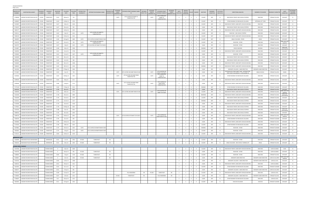| <b>CRASHES REPORTED</b> |
|-------------------------|
| PAGE 4 OF 6             |

| <b>MASTER FILE</b><br><b>NUMBER</b> | <b>INVESTIGATING AGENCY</b>                                            | ROADWAY<br>NUMBER | ROADWAY<br>NAME                        | MILEPOINT<br>DERIVED | COLLISION<br>DATE     | COLLISION<br>TIME | INTERSECTION<br>ROADWAY# | INTERSECTION ROADWAY NAME                         | NTERSECTION<br><b>ROADWAY SFX</b> | BETWEEN<br>STREET<br>ROADWAY #1 | BETWEEN STREET ROADWAY NAME<br>#1           | <b>BETWEEN</b><br><b>STREET SFX</b> | BETWEEN<br><b>STREETS</b><br>ROADWAY #2 | <b>BETWEEN STREET</b><br>ROADWAY NAME #2                     | <b>BETWEEN</b><br>UNITS<br>STREET<br>INVOLVED<br>ROADWAY SFX 2 | <b>MOTOR</b><br>VEHICLES<br>INVOLVED | KILLED                       | <b>INJURED</b>          | WEATHER                | <b>ROADWAY</b><br>CONDITION | HIT & RUN<br><b>INDICATOR</b> | DIRECTIONAL ANALYSIS                                                                         | MANNER OF COLLISION                | ROADWAY CHARACTER                               | LIGH <sub>1</sub><br>CONDITION | SECONDARY<br>COLLISION<br><b>INDICATOR</b> |
|-------------------------------------|------------------------------------------------------------------------|-------------------|----------------------------------------|----------------------|-----------------------|-------------------|--------------------------|---------------------------------------------------|-----------------------------------|---------------------------------|---------------------------------------------|-------------------------------------|-----------------------------------------|--------------------------------------------------------------|----------------------------------------------------------------|--------------------------------------|------------------------------|-------------------------|------------------------|-----------------------------|-------------------------------|----------------------------------------------------------------------------------------------|------------------------------------|-------------------------------------------------|--------------------------------|--------------------------------------------|
|                                     | 71768309 LAKESIDE PK/CRESTVIEW HILLS PD                                | KY1303            | TURKEYFOOT                             | 5.613                | 28-Apr-16             | 752               |                          |                                                   |                                   | 10275                           | 1275 E EXIT82 OFF RAMP TO<br>TURKEYFOOT RD  |                                     | 10275                                   | 1275 E EXIT82 OFF<br>RAMP TO<br><b>TURKEYFOOT RD</b>         |                                                                |                                      | $\mathbf{0}$                 |                         | CLOUDY                 | DRY                         |                               | REAR END IN TRAFFIC ONE VEHICLE STOPPED                                                      | <b>REAR END</b>                    | STRAIGHT & LEVEL                                | DAYLIGHT                       |                                            |
| 71428587                            | LAKESIDE PK/CRESTVIEW HILLS PD                                         | KY1303            | TURKEYFOOT                             | 5.619                | 12-Mar-14             | 1705              |                          |                                                   |                                   |                                 |                                             |                                     |                                         |                                                              | $\overline{2}$                                                 |                                      | $^{\circ}$                   | $\overline{0}$          | CLOUDY                 | DRY                         |                               | OTHER ROADWAY OR MID-BLOCK COLLISION                                                         | OPPOSING LEFT TURN                 | STRAIGHT & LEVEL                                | DAYLIGHT                       |                                            |
| 71525987                            | LAKESIDE PK/CRESTVIEW HILLS PD                                         | KY1303            | TURKEYFOOT                             | 5.627                | 4-Nov-14              | 1420              |                          |                                                   |                                   |                                 |                                             |                                     |                                         |                                                              | $\overline{\mathbf{3}}$                                        | 3                                    | $\circ$                      | <sup>1</sup>            | CLOUDY                 | DRY                         | N                             | REAR END IN TRAFFIC LANES BOTH VEHICLES MOVING                                               | <b>REAR END</b>                    | STRAIGHT & LEVEL                                | DAYLIGHT                       |                                            |
| 71726473                            | LAKESIDE PK/CRESTVIEW HILLS PD                                         | KY1303            | TURKEYFOOT                             | 5.627                | 29-Jan-16             | 952               |                          |                                                   |                                   |                                 |                                             |                                     |                                         |                                                              | $\overline{2}$                                                 | $\overline{2}$                       | $\mathbf{0}$                 | $\overline{0}$          | CLEAR                  | DRY                         | N                             | REAR END IN TRAFFIC ONE VEHICLE STOPPED                                                      | <b>REAR END</b>                    | STRAIGHT & LEVEL                                | DAYLIGHT                       |                                            |
| 71891377                            | LAKESIDE PK/CRESTVIEW HILLS PD                                         | KY1303            | TURKEYFOOT                             | 5.627                | 14-Nov-16             | 1355              |                          |                                                   |                                   |                                 |                                             |                                     |                                         |                                                              | $\overline{2}$                                                 | $\overline{2}$                       | $\mathbf{0}$                 | $\overline{0}$          | CLEAR                  | DRY                         | N                             | REAR END IN TRAFFIC LANES BOTH VEHICLES MOVING                                               | <b>REAR END</b>                    | STRAIGHT & LEVEL                                | DAYLIGHT                       |                                            |
| 71592111                            | LAKESIDE PK/CRESTVIEW HILLS PD                                         | KY1303            | TURKEYFOOT                             | 5.635                | 2-Apr-15              | 1415              | 10275                    | 1275 E EXIT82 OFF RAMP TO<br><b>TURKEYFOOT RD</b> |                                   |                                 |                                             |                                     |                                         |                                                              | $\overline{2}$                                                 | $\overline{2}$                       | $^{\circ}$                   | $\overline{\mathbf{0}}$ | <b>CLOUDY</b>          | <b>DRY</b>                  | N                             | REAR END - ONE VEHICLE STOPPED                                                               | <b>REAR END</b>                    | STRAIGHT & GRADE                                | DAYLIGHT                       |                                            |
| 71900159                            | LAKESIDE PK/CRESTVIEW HILLS PD                                         | KY1303            | TURKEYFOOT                             | 5.636                | 23-Nov-16             | 1010              |                          |                                                   |                                   |                                 |                                             |                                     |                                         |                                                              | $\overline{2}$                                                 | $\overline{2}$                       | $\mathbf{0}$                 | $\overline{\mathbf{0}}$ | CLOUDY                 | WET                         | N                             | REAR END IN TRAFFIC LANES BOTH VEHICLES MOVING                                               | <b>REAR END</b>                    | STRAIGHT & LEVEL                                | DAYLIGHT                       |                                            |
| 71834879                            | LAKESIDE PK/CRESTVIEW HILLS PD                                         | KY1303            | TURKEYFOOT                             | 5.636                | 26-Aug-16             | 1809              | 10275                    | 1275 E EXIT82 ON RAMP FROM KY1303                 |                                   |                                 |                                             |                                     |                                         |                                                              | $\overline{2}$                                                 | $\overline{2}$                       | $\mathbf{0}$                 | $\overline{\mathbf{0}}$ | <b>CLOUDY</b>          | WET                         | N                             | ANGLE COLLISION - OTHER                                                                      | ANGLE                              | STRAIGHT & LEVEL                                | DAYLIGHT                       |                                            |
| 71561070                            | LAKESIDE PK/CRESTVIEW HILLS PD                                         | KY1303            | TURKEYFOOT                             | 5.637                | 24-Jan-14             | 159               | <b>I0275</b>             | 1275 E EXIT82 OFF RAMP TO<br><b>TURKEYFOOT RD</b> |                                   |                                 |                                             |                                     |                                         |                                                              | $\overline{2}$                                                 | 2                                    | $\mathbf{0}$                 | $\mathbf{3}$            | <b>CLOUDY</b>          | DRY                         |                               | REAR END - OTHER                                                                             | <b>REAR END</b>                    | STRAIGHT & LEVEL                                | DARK-HWY NO<br>LIGHTED         |                                            |
| 71653797                            | LAKESIDE PK/CRESTVIEW HILLS PD                                         | KY1303            | <b>TURKEYFOOT</b>                      | 5.637                | 1-Sep-15              | 1425              | <b>IO275</b>             | 1275 W EXIT82 OFF RAMP TO KY1303 S                |                                   |                                 |                                             |                                     |                                         |                                                              | $\overline{2}$                                                 |                                      | $\Omega$                     |                         | CLEAR                  | DRY                         |                               | REAR END - OTHER                                                                             | <b>REAR END</b>                    | STRAIGHT & LEVEL                                | DAYLIGHT                       |                                            |
| 71524847                            | LAKESIDE PK/CRESTVIEW HILLS PD                                         | KY1303            | <b>TURKEYFOOT</b>                      | 5.638                | 4-Nov-14              | 1928              |                          |                                                   |                                   |                                 |                                             |                                     |                                         |                                                              | $\overline{2}$                                                 | - 2                                  | $\Omega$                     | $\Omega$                | RAINING                | WET                         |                               | <b>VEHICLE BACKING</b>                                                                       | <b>BACKING</b>                     | STRAIGHT & LEVEL                                | DARK-HWY<br><b>LIGHTED/ON</b>  |                                            |
| 71463950                            | LAKESIDE PK/CRESTVIEW HILLS PD                                         | KY1303            | <b>TURKEYFOOT</b>                      | 5.641                | 11-Jun-14             | 1728              |                          |                                                   |                                   |                                 |                                             |                                     |                                         |                                                              | $\mathbf{3}$                                                   |                                      |                              |                         | CLOUDY                 | DRY                         |                               | REAR END IN TRAFFIC LANES BOTH VEHICLES MOVING                                               | <b>REAR END</b>                    | STRAIGHT & LEVEL                                | DAYLIGHT                       |                                            |
| 71559645                            | LAKESIDE PK/CRESTVIEW HILLS PD                                         | KY1303            | <b>URKEYFOOT</b>                       | 5.641                | 21-Jan-15             | 1307              | 10275                    | 1275 E EXIT82 OFF RAMP TO<br><b>TURKEYFOOT RD</b> |                                   |                                 |                                             |                                     |                                         |                                                              |                                                                |                                      |                              |                         | CLEAR                  | <b>DRY</b>                  |                               | <b>REAR END - OTHER</b>                                                                      | <b>REAR END</b>                    | STRAIGHT & LEVEL                                | DAYLIGHT                       |                                            |
| 71626828                            | LAKESIDE PK/CRESTVIEW HILLS PD                                         | KY1303            | <b>TURKEYFOOT</b>                      | 5.641                | 30-Jun-15             | 833               |                          |                                                   |                                   |                                 |                                             |                                     |                                         |                                                              |                                                                |                                      |                              |                         | CLEAR                  | <b>DRY</b>                  |                               | REAR END IN TRAFFIC ONE VEHICLE STOPPED                                                      | <b>REAR END</b>                    | STRAIGHT & LEVEL                                | DAYLIGHT                       |                                            |
| 71803581                            | LAKESIDE PK/CRESTVIEW HILLS PD                                         | KY1303            | <b>TURKEYFOOT</b>                      | 5.642                | 13-Jul-16             | 940               |                          |                                                   |                                   |                                 |                                             |                                     |                                         |                                                              | $\overline{2}$                                                 |                                      |                              | $\overline{0}$          | CLEAR                  | <b>DRY</b>                  |                               | REAR END IN TRAFFIC ONE VEHICLE STOPPED                                                      | <b>REAR END</b>                    | STRAIGHT & LEVEL                                | DAYLIGHT                       |                                            |
| 71626829                            | LAKESIDE PK/CRESTVIEW HILLS PD                                         | KY1303            | TURKEYFOOT                             | 5.644                | 30-Jun-15             | 1048              |                          |                                                   |                                   |                                 |                                             |                                     |                                         |                                                              |                                                                |                                      |                              |                         | CLEAR                  | DRY                         |                               | REAR END IN TRAFFIC LANES BOTH VEHICLES MOVING                                               | <b>REAR END</b>                    | STRAIGHT & LEVEL                                | DAYLIGHT                       |                                            |
| 71684445                            | LAKESIDE PK/CRESTVIEW HILLS PD                                         | KY1303            | TURKEYFOOT                             | 5.645                | 28-Oct-15             | 1240              |                          |                                                   |                                   |                                 |                                             |                                     |                                         |                                                              |                                                                |                                      |                              |                         | RAINING                | WET                         |                               | REAR END IN TRAFFIC LANES BOTH VEHICLES MOVING                                               | <b>REAR END</b>                    | STRAIGHT & LEVEL                                | DAYLIGHT                       |                                            |
| 71612444                            | LAKESIDE PK/CRESTVIEW HILLS PD                                         | KY1303            | TURKEYFOOT                             | 5.653                | 27-May-15             | 1650              |                          |                                                   |                                   |                                 |                                             |                                     |                                         |                                                              | $\overline{2}$                                                 |                                      | $\Omega$                     |                         | CLEAR                  | DRY                         |                               | SIDESWIPE COLLISION - SAME DIRECTION                                                         | SIDESWIPE-SAME DIRECTION           | STRAIGHT & LEVEL                                | DAYLIGHT                       |                                            |
| 71713847                            | LAKESIDE PK/CRESTVIEW HILLS PD                                         | KY1303            | TURKEYFOOT                             | 5.653                | 3-Jan-15              | 739               |                          |                                                   |                                   | 10275                           | 1275 E EXIT82 ON RAMP FROM KY1303           |                                     | 10275                                   | 1275 W EXIT82 OFF<br>RAMP TO KY1303                          | <sup>1</sup>                                                   | <sup>1</sup>                         | $\mathbf{0}$                 | $\overline{0}$          | CLEAR                  | DRY                         | N                             | COLLISION WITH FIXED OBJECT NON - INTERSECTION<br>FIRST EVENT COLLISION 09 - 32 EXCLUDING 16 | SINGLE VEHICLE                     | STRAIGHT & LEVEL                                | DAWN                           |                                            |
| 71459582                            | LAKESIDE PK/CRESTVIEW HILLS PD                                         | KY1303            | TURKEYFOOT                             | 5.655                | 30-May-14             | 1425              |                          |                                                   |                                   | 10275                           | 1275 W EXIT82 ON RAMP FROM<br>TURKEYFOOT RD |                                     | 10275                                   | 1275 E EXIT82 OFF<br>RAMP TO<br><b>TURKEYFOOT RD</b>         |                                                                |                                      | $\Omega$                     | $\Omega$                | CLEAR                  | DRY                         |                               | OTHER ROADWAY OR MID-BLOCK COLLISION                                                         | <b>REAR END</b>                    | STRAIGHT & LEVEL                                | DAYLIGHT                       |                                            |
| 71499359                            | LAKESIDE PK/CRESTVIEW HILLS PD                                         | KY1303            | TURKEYFOOT                             | 5.663                | 8-Sep-14              | 1511              |                          |                                                   |                                   |                                 |                                             |                                     |                                         |                                                              | $\overline{\mathbf{3}}$                                        |                                      | $^{\circ}$                   | $\overline{0}$          | CLEAR                  | DRY                         | N                             | REAR END IN TRAFFIC LANES BOTH VEHICLES MOVING                                               | <b>REAR END</b>                    | STRAIGHT & LEVEL                                | DAYLIGHT                       |                                            |
| 71485480                            | LAKESIDE PK/CRESTVIEW HILLS PD                                         | KY1303            | TURKEYFOOT                             | 5.668                | 6-Aug-14              | 1715              |                          |                                                   |                                   | 10275                           | 1275 E EXIT82 ON RAMP FROM<br>TURKEYFOOT RD |                                     | 10275                                   | 1275 E EXIT82 ON<br><b>RAMP FROM</b><br><b>TURKEYFOOT RD</b> |                                                                |                                      | $\Omega$                     |                         | CLEAR                  | DRY                         |                               | REAR END IN TRAFFIC LANES BOTH VEHICLES MOVING                                               | <b>REAR END</b>                    | STRAIGHT & LEVEL                                | DAYLIGHT                       |                                            |
| 71775109                            | LAKESIDE PK/CRESTVIEW HILLS PD                                         | KY1303            | <b>TURKEYFOOT</b>                      | 5.694                | 17-May-16             | 1512              |                          |                                                   |                                   |                                 |                                             |                                     |                                         |                                                              | $\overline{2}$                                                 |                                      | $\Omega$                     |                         | RAINING                | WET                         |                               | OTHER ROADWAY OR MID-BLOCK COLLISION                                                         | <b>REAR END</b>                    | STRAIGHT & GRADE                                | DAYLIGHT                       |                                            |
| 71909490                            | 71667624 KENTON COUNTY SHERIFF DEPT.<br>LAKESIDE PK/CRESTVIEW HILLS PD | KY1303<br>KY1303  | <b>TURKEYFOOT</b><br><b>TURKEYFOOT</b> | 5.709<br>5.721       | 28-Jul-15<br>8-Dec-16 | 1335<br>1721      |                          |                                                   |                                   | 10275                           | 1275 E EXIT82 ON RAMP FROM KY1303           |                                     | 10275                                   | 1275 W EXIT82 OF                                             | $\overline{2}$<br>$\overline{2}$                               | $\overline{2}$<br>2                  | $\overline{0}$<br>$^{\circ}$ | $\Omega$<br>$\Omega$    | CLEAR<br><b>CLOUDY</b> | DRY<br>DRY                  | N                             | REAR END IN TRAFFIC ONE VEHICLE STOPPED<br>REAR END IN TRAFFIC LANES BOTH VEHICLES MOVING    | <b>REAR END</b><br><b>REAR END</b> | <b>STRAIGHT &amp; LEVEL</b><br>STRAIGHT & LEVEL | DAYLIGHT<br>DARK-HWY NO        |                                            |
| 71563300                            | LAKESIDE PK/CRESTVIEW HILLS PD                                         | KY1303            | <b>TURKEYFOOT</b>                      | 5.738                | 29-Jan-15             | 1800              |                          |                                                   |                                   |                                 |                                             |                                     |                                         | RAMP TO KY1303                                               | $\overline{2}$                                                 | 2                                    | $^{\circ}$                   | $\overline{0}$          | SNOWING                | WET                         |                               | REAR END IN TRAFFIC LANES BOTH VEHICLES MOVING                                               | <b>REAR END</b>                    | STRAIGHT & LEVEL                                | LIGHTED<br>DARK-HWY            |                                            |
| 71561069                            | LAKESIDE PK/CRESTVIEW HILLS PD                                         | KY1303            | <b>TURKEYFOOT</b>                      | 5.744                | 23-Jan-15             | 1559              |                          |                                                   |                                   |                                 |                                             |                                     |                                         |                                                              | $\overline{2}$                                                 | 2                                    | $^{\circ}$                   | $\overline{0}$          | CLOUDY                 | DRY                         | N                             | REAR END IN TRAFFIC ONE VEHICLE STOPPED                                                      | <b>REAR END</b>                    | STRAIGHT & LEVEL                                | LIGHTED/ON<br>DAYLIGHT         |                                            |
|                                     | 71523513 LAKESIDE PK/CRESTVIEW HILLS PD                                | KY1303            | <b>TURKEYFOOT</b>                      | 5.775                | 31-Oct-14             | 1157              |                          |                                                   |                                   |                                 |                                             |                                     |                                         |                                                              | <sup>2</sup>                                                   | 2                                    | $\overline{0}$               | $\overline{0}$          | RAINING                | WET                         | N                             | REAR END IN TRAFFIC ONE VEHICLE STOPPED                                                      | <b>REAR END</b>                    | STRAIGHT & LEVEL                                | DAYLIGHT                       |                                            |
| 71720396                            | LAKESIDE PK/CRESTVIEW HILLS PD                                         | KY1303            | <b>TURKEYFOOT</b>                      | 5.776                | 14-Jan-16             | 1618              |                          |                                                   |                                   |                                 |                                             |                                     |                                         |                                                              | $\overline{\mathbf{3}}$                                        | $\overline{\mathbf{3}}$              | $\overline{0}$               | $\overline{0}$          | CLEAR                  | DRY                         | N                             | REAR END IN TRAFFIC LANES BOTH VEHICLES MOVING                                               | <b>REAR END</b>                    | STRAIGHT & GRADE                                | DAYLIGHT                       |                                            |
| 71778341                            | LAKESIDE PK/CRESTVIEW HILLS PD                                         | KY1303            | TURKEYFOOT                             | 5.778                | 25-May-16             | 1814              |                          |                                                   |                                   |                                 |                                             |                                     |                                         |                                                              | $\overline{\mathbf{3}}$                                        | $\overline{\mathbf{3}}$              | $\overline{0}$               |                         | CLEAR                  | DRY                         | <b>N</b>                      | REAR END IN TRAFFIC ONE VEHICLE STOPPED                                                      | <b>REAR END</b>                    | STRAIGHT & LEVEL                                | DAYLIGHT                       |                                            |
| 71554536                            | LAKESIDE PK/CRESTVIEW HILLS PD                                         | KY1303            | TURKEYFOOT                             | 5.788                | 9-Jan-15              | 2022              |                          |                                                   |                                   |                                 |                                             |                                     |                                         |                                                              | $\overline{2}$                                                 | 2                                    | $\circ$                      | $\overline{\mathbf{0}}$ | CLEAR                  | DRY                         | Y                             | REAR END IN TRAFFIC ONE VEHICLE STOPPED                                                      | <b>REAR END</b>                    | STRAIGHT & LEVEL                                | DARK-HWY                       |                                            |
| 71808556                            | LAKESIDE PK/CRESTVIEW HILLS PD                                         | KY1303            | <b>TURKEYFOOT</b>                      | 5.792                | 20-Jul-16             | 1043              |                          |                                                   |                                   |                                 |                                             |                                     |                                         |                                                              | $\overline{\mathbf{3}}$                                        | - 3                                  | $\overline{0}$               | $\overline{0}$          | CLEAR                  | DRY                         | N                             | REAR END IN TRAFFIC ONE VEHICLE STOPPED                                                      | <b>REAR END</b>                    | STRAIGHT & LEVEL                                | LIGHTED/ON<br>DAYLIGHT         |                                            |
| 71696759                            | LAKESIDE PK/CRESTVIEW HILLS PD                                         | KY1303            | <b>TURKEYFOOT</b>                      | 5.793                | 24-Nov-15             | 2052              |                          |                                                   |                                   | 10275                           | 1275 W EXIT82 OFF RAMP TO KY1303 S          |                                     | 10275                                   | 1275 E EXIT82 OM                                             | $\overline{2}$                                                 |                                      | $^{\circ}$                   | $\Omega$                | CLEAR                  | DRY                         |                               | REAR END IN TRAFFIC LANES BOTH VEHICLES MOVING                                               | <b>REAR END</b>                    | STRAIGHT & LEVEL                                | DARK-HWY NOT                   |                                            |
|                                     | 71636259 LAKESIDE PK/CRESTVIEW HILLS PD                                | KY1303            | TURKEYFOOT                             | 5.794                | 23-Jul-15             | 833               |                          |                                                   |                                   |                                 |                                             |                                     |                                         | RAMP FROM KY130                                              | $\overline{2}$                                                 |                                      | $^{\circ}$                   |                         | CLEAR                  | <b>DRY</b>                  |                               | OTHER ROADWAY OR MID-BLOCK COLLISION                                                         | <b>REAR END</b>                    | STRAIGHT & GRADE                                | LIGHTEL<br>DAYLIGHT            |                                            |
|                                     | 71903846 LAKESIDE PK/CRESTVIEW HILLS PD KY1303                         |                   | TURKEYFOOT                             | 5.795                | 23-Nov-16             | 1215              |                          |                                                   |                                   |                                 |                                             |                                     |                                         |                                                              |                                                                |                                      | $\Omega$                     |                         | <b>CLEAR</b>           | DRY                         |                               | REAR END IN TRAFFIC LANES BOTH VEHICLES MOVING                                               | <b>REAR END</b>                    | STRAIGHT & LEVEL                                | DAYLIGHT                       |                                            |
|                                     | 71743350 LAKESIDE PK/CRESTVIEW HILLS PD                                | KY1303            | TURKEYFOOT                             | 5.796                | 4-Mar-16              | 1625              |                          |                                                   |                                   |                                 |                                             |                                     |                                         |                                                              | $\overline{\mathbf{3}}$                                        | - 3                                  | $^{\circ}$                   | $\overline{0}$          | <b>CLOUDY</b>          | DRY                         |                               | OTHER ROADWAY OR MID-BLOCK COLLISION                                                         | <b>REAR END</b>                    | STRAIGHT & LEVEL                                | DAYLIGHT                       |                                            |
| 71679862                            | LAKESIDE PK/CRESTVIEW HILLS PD                                         | KY1303            | TURKEYFOOT                             | 5.797                | 24-Oct-15             | 1642              | <b>I0275</b>             | 1275 E EXIT82 ON RAMP FROM KY1303                 |                                   |                                 |                                             |                                     |                                         |                                                              | $\overline{\mathbf{3}}$                                        | $\mathbf{3}$                         | $\overline{0}$               | $\overline{0}$          | RAINING                | WET                         | N                             | REAR END - OTHER                                                                             | <b>REAR END</b>                    | STRAIGHT & GRADE                                | DAYLIGHT                       | N.                                         |
|                                     | 71819833 LAKESIDE PK/CRESTVIEW HILLS PD                                | KY1303            | TURKEYFOOT                             | 5.797                | 3-Aug-16              | 1522              | 10275                    | 1275 E EXIT82 ON RAMP FROM KY1303                 |                                   |                                 |                                             |                                     |                                         |                                                              | $\overline{2}$                                                 | $\overline{2}$                       | $\overline{0}$               | $\overline{0}$          | CLOUDY                 | <b>DRY</b>                  | N                             | <b>REAR END - OTHER</b>                                                                      | <b>REAR END</b>                    | STRAIGHT & LEVEL                                | DAYLIGHT                       | N                                          |
|                                     | 71710172 LAKESIDE PK/CRESTVIEW HILLS PD                                | KY1303            | TURKEYFOOT                             | 5.824                | 23-Dec-15             | 1619              |                          |                                                   |                                   |                                 |                                             |                                     |                                         |                                                              | $\overline{2}$                                                 | 2                                    | $\mathbf{0}$                 | $\overline{0}$          | CLOUDY                 | DRY                         |                               | REAR END IN TRAFFIC LANES BOTH VEHICLES MOVING                                               | <b>REAR END</b>                    | STRAIGHT & LEVEL                                | DAYLIGHT                       | N                                          |
| <b>BARNWOOD DRIVE</b>               |                                                                        |                   |                                        |                      |                       |                   |                          |                                                   |                                   |                                 |                                             |                                     |                                         |                                                              |                                                                |                                      |                              |                         |                        |                             |                               |                                                                                              |                                    |                                                 |                                |                                            |
|                                     | 71626999 EDGEWOOD POLICE DEPARTMENT                                    |                   | BARNWOOD                               | 0.015                | 1-Jul-15              | 1956              | KY1303                   | TURKEYFOOT                                        | <b>RD</b>                         |                                 |                                             |                                     |                                         |                                                              | 2                                                              | 2                                    | $\mathbf{0}$                 | $\overline{0}$          | CLOUDY                 | DRY                         |                               | REAR END - OTHER                                                                             | <b>REAR END</b>                    | STRAIGHT & LEVEL                                | DAYLIGHT                       |                                            |
|                                     | 71903242 EDGEWOOD POLICE DEPARTMENT                                    |                   | BARNWOOD                               | 0.012                | 2-Dec-16              | 1405              | KY1303                   | TURKEYFOOT                                        | <b>RD</b>                         |                                 |                                             |                                     |                                         |                                                              | 2                                                              |                                      | $\mathbf{0}$                 | $\overline{0}$          | CLOUDY                 | DRY                         |                               | ANGLE COLLISION - ONE VEHICLE TURNING LEFT                                                   | ANGLE                              | STRAIGHT & LEVEL                                | DAYLIGHT                       |                                            |
|                                     | <b>THOMAS MORE PARKWAY</b>                                             |                   |                                        |                      |                       |                   |                          |                                                   |                                   |                                 |                                             |                                     |                                         |                                                              |                                                                |                                      |                              |                         |                        |                             |                               |                                                                                              |                                    |                                                 |                                |                                            |
| 71437406                            | LAKESIDE PK/CRESTVIEW HILLS PD                                         |                   | <b>THOMAS MORE</b>                     |                      | 4-Apr-14              | 2028              |                          |                                                   |                                   |                                 |                                             |                                     |                                         |                                                              | $\overline{2}$                                                 | $\overline{2}$                       | $\circ$                      | $\overline{0}$          | CLOUDY                 | DRY                         |                               | REAR END IN TRAFFIC LANES BOTH VEHICLES MOVING                                               | <b>REAR END</b>                    | <b>CURVE &amp; GRADE</b>                        | <b>DUSK</b>                    | N                                          |
| 71445782                            | LAKESIDE PK/CRESTVIEW HILLS PD                                         |                   | THOMAS MORE                            |                      | 26-Apr-14             | 953               | KY1303                   | TURKEYFOOT                                        | <b>RD</b>                         |                                 |                                             |                                     |                                         |                                                              | $\overline{2}$                                                 | $\overline{2}$                       | $\mathbf{0}$                 | $\overline{0}$          | CLEAR                  | DRY                         | N                             | REAR END - OTHER                                                                             | <b>REAR END</b>                    | <b>CURVE &amp; GRADE</b>                        | DAYLIGHT                       | N                                          |
| 71486893                            | LAKESIDE PK/CRESTVIEW HILLS PD                                         |                   | THOMAS MORE                            | 0.005                | 7-Aug-14              | 1318              | KY1303                   | TURKEYFOOT                                        | <b>RD</b>                         |                                 |                                             |                                     |                                         |                                                              | $\overline{2}$                                                 | $\overline{2}$                       | $\overline{0}$               | $\overline{0}$          | CLOUDY                 | DRY                         | N                             | REAR END - OTHER                                                                             | <b>REAR END</b>                    | STRAIGHT & LEVEL                                | DAYLIGHT                       | N                                          |
| 71509837                            | LAKESIDE PK/CRESTVIEW HILLS PD                                         |                   | THOMAS MORE                            | $^{\circ}$           | $2$ -Oct-14           | 2206              | KY1303                   | TURKEYFOOT                                        | <b>RD</b>                         |                                 |                                             |                                     |                                         |                                                              | $\overline{2}$                                                 | $\overline{2}$                       | $\overline{0}$               | $\overline{\mathbf{0}}$ | CLEAR                  | DRY                         | N                             | SIDESWIPE-SAME DIRECTION                                                                     | SIDESWIPE-SAME DIRECTION           | <b>CURVE &amp; HILLCREST</b>                    | DARK-HWY NOT                   | N                                          |
| 71543556                            | LAKESIDE PK/CRESTVIEW HILLS PD                                         |                   | <b>THOMAS MORE</b>                     | 0.002                | 12-Dec-14             | 1408              |                          |                                                   |                                   |                                 |                                             |                                     |                                         |                                                              | $\overline{2}$                                                 | $\overline{2}$                       | $\overline{0}$               | $\overline{\mathbf{0}}$ | CLEAR                  | DRY                         | N                             | SIDESWIPE COLLISION - SAME DIRECTION                                                         | SIDESWIPE-SAME DIRECTION           | CURVE & LEVEL                                   | LIGHTED<br>DAYLIGHT            | N                                          |
| 71600510                            | LAKESIDE PK/CRESTVIEW HILLS PD                                         |                   | <b>THOMAS MORE</b>                     | 0.051                | 29-Apr-15             | 1421              |                          |                                                   |                                   |                                 |                                             |                                     |                                         |                                                              | $\overline{2}$                                                 | $\overline{2}$                       | $\circ$                      | $\overline{\mathbf{0}}$ | CLEAR                  | DRY                         | N                             | REAR END IN TRAFFIC LANES BOTH VEHICLES MOVING                                               | <b>REAR END</b>                    | <b>CURVE &amp; GRADE</b>                        | DAYLIGHT                       | N                                          |
|                                     | 71624281 LAKESIDE PK/CRESTVIEW HILLS PD                                |                   | <b>THOMAS MORE</b>                     | 0.014                | 22-Jun-15             | 755               |                          |                                                   |                                   |                                 |                                             |                                     |                                         |                                                              | $\overline{2}$                                                 | 2                                    | $\overline{0}$               | $\overline{0}$          | <b>CLOUDY</b>          | <b>DRY</b>                  | N                             | OTHER ROADWAY OR MID-BLOCK COLLISION                                                         | <b>REAR END</b>                    | STRAIGHT & GRADE                                | DAYLIGHT                       | N                                          |
| 71660377                            | LAKESIDE PK/CRESTVIEW HILLS PD                                         |                   | THOMAS MORE                            | 0.031                | 17-Sep-15             | 801               |                          |                                                   |                                   |                                 |                                             |                                     |                                         |                                                              | $\overline{2}$                                                 | 2                                    | $\overline{0}$               | $\overline{0}$          | CLEAR                  | <b>DRY</b>                  | N                             | SIDESWIPE COLLISION - SAME DIRECTION                                                         | SIDESWIPE-SAME DIRECTION           | <b>CURVE &amp; HILLCREST</b>                    | DAYLIGHT                       | N                                          |
|                                     | 71763114 LAKESIDE PK/CRESTVIEW HILLS PD                                |                   | THOMAS MORE                            | 0.028                | 21-Apr-16             | 1207              |                          |                                                   |                                   |                                 | VILLA MADONNA                               | DR                                  | KY1303                                  | TURKEYFOOT                                                   | <b>RD</b><br><sup>2</sup>                                      | $\overline{2}$                       | $\overline{0}$               | $\overline{0}$          | CLOUDY                 | DRY                         | N                             | REAR END IN TRAFFIC LANES BOTH VEHICLES MOVING                                               | <b>REAR END</b>                    | <b>CURVE &amp; LEVEL</b>                        | DAYLIGHT                       | N                                          |
|                                     | 71730876 LAKESIDE PK/CRESTVIEW HILLS PD                                |                   | THOMAS MORE                            | 0.027                | 5-Feb-16              | 1312              |                          |                                                   |                                   | KY1303                          | TURKEYFOOT                                  | <b>RD</b>                           |                                         | VILLA MADONNA                                                | DR<br>$\overline{2}$                                           | 2                                    | $\overline{0}$               | $\overline{0}$          | CLEAR                  | DRY                         | N                             | SIDESWIPE COLLISION - SAME DIRECTION                                                         | SIDESWIPE-SAME DIRECTION           | STRAIGHT & LEVEL                                | DAYLIGHT                       | N                                          |
|                                     | 71768307 LAKESIDE PK/CRESTVIEW HILLS PD                                |                   | THOMAS MORE                            | 0.01                 | 26-Apr-16             | 1315              |                          |                                                   |                                   |                                 |                                             |                                     |                                         |                                                              | $\overline{2}$                                                 | 2                                    | $\overline{0}$               | $\overline{0}$          | CLEAR                  | DRY                         | N                             | OTHER ROADWAY OR MID-BLOCK COLLISION                                                         | <b>REAR END</b>                    | CURVE & LEVEL                                   | DAYLIGHT                       | N                                          |
|                                     | 71824092 LAKESIDE PK/CRESTVIEW HILLS PD                                |                   | THOMAS MORE                            | 0.011                | 10-Aug-16             | 1050              |                          |                                                   |                                   |                                 |                                             |                                     |                                         |                                                              | $\overline{2}$                                                 | $\overline{2}$                       | $\mathbf{0}$                 | $\overline{0}$          | CLOUDY                 | WET                         | N                             | HEAD-ON COLLISION                                                                            | <b>HEAD ON</b>                     | STRAIGHT & GRADE                                | DAYLIGHT                       | N                                          |
|                                     |                                                                        |                   |                                        |                      |                       |                   |                          |                                                   |                                   |                                 |                                             |                                     |                                         |                                                              |                                                                |                                      |                              |                         |                        |                             |                               |                                                                                              |                                    |                                                 |                                |                                            |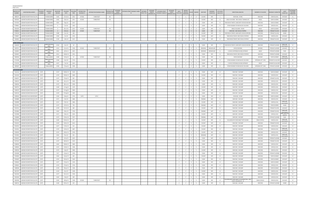| <b>CRASHES REPORTED</b> |  |
|-------------------------|--|
| PAGE 5 OF 6             |  |

| <b>MASTER FILE</b><br><b>NUMBER</b> | <b>INVESTIGATING AGENCY</b>             | ROADWAY<br><b>NUMBER</b> | ROADWAY<br><b>NAME</b>        | MILEPOINT<br>DERIVED | COLLISION<br>DATE | COLLISION<br>TIME | INTERSECTION<br>ROADWAY# | INTERSECTION ROADWAY NAME | BETWEEN<br><b>INTERSECTION</b><br>STREET<br>ROADWAY SFX<br>ROADWAY #1 | BETWEEN STREET ROADWAY NAME<br>#1 | <b>BETWEEN</b><br>STREET SFX | <b>BETWEEN</b><br><b>STREETS</b><br>ROADWAY #2 | <b>BETWEEN STREET</b><br>ROADWAY NAME #2 | <b>BETWEEN</b><br><b>UNITS</b><br>STREET<br>INVOLVED<br>ROADWAY SFX 2 | MOTOI<br>VEHICLES<br>INVOLVED | KILLED         | INJURED                 | WEATHER       | ROADWAY<br>CONDITION | HIT & RUN<br><b>INDICATOR</b> | DIRECTIONAL ANALYSIS                                                                  | MANNER OF COLLISION | ROADWAY CHARACTER               | LIGHT<br>CONDITION         | SECONDARY<br>COLLISION<br><b>INDICATOR</b> |
|-------------------------------------|-----------------------------------------|--------------------------|-------------------------------|----------------------|-------------------|-------------------|--------------------------|---------------------------|-----------------------------------------------------------------------|-----------------------------------|------------------------------|------------------------------------------------|------------------------------------------|-----------------------------------------------------------------------|-------------------------------|----------------|-------------------------|---------------|----------------------|-------------------------------|---------------------------------------------------------------------------------------|---------------------|---------------------------------|----------------------------|--------------------------------------------|
| 71881597                            | LAKESIDE PK/CRESTVIEW HILLS PD          |                          | THOMAS MORE                   | 0.005                | 27-Oct-16         | 1016              | KY1303                   | TURKEYFOOT                | <b>RD</b>                                                             |                                   |                              |                                                |                                          | $\overline{2}$                                                        | 2                             | $\overline{0}$ | $\overline{0}$          | CLOUDY        | DRY                  | Y                             | REAR END - OTHER                                                                      | <b>REAR END</b>     | CURVE & LEVEL                   | DAYLIGHT                   | N                                          |
| 71907462                            | LAKESIDE PK/CRESTVIEW HILLS PD          |                          | THOMAS MORE                   | 0.002                | 6-Dec-16          | 1421              | KY1303                   | TURKEYFOOT                | <b>RD</b>                                                             |                                   |                              |                                                |                                          | $\overline{\mathbf{3}}$                                               | $\overline{\mathbf{3}}$       | $\overline{0}$ | <sup>1</sup>            | CLOUDY        | WET                  | N                             | ANGLE COLLISION - ONE VEHICLE TURNING LEFT                                            | ANGLE               | <b>CURVE &amp; GRADE</b>        | DAYLIGHT                   | N                                          |
| 71757925                            | LAKESIDE PK/CRESTVIEW HILLS PD          |                          | THOMAS MORE                   | 0.001                | 9-Apr-16          | 1615              |                          |                           |                                                                       |                                   |                              |                                                |                                          | $\overline{2}$                                                        | $\overline{2}$                | $\circ$        | $\overline{0}$          | CLEAR         | <b>DRY</b>           | N                             | REAR END IN TRAFFIC LANES BOTH VEHICLES MOVING                                        | <b>REAR END</b>     | <b>CURVE &amp; GRADE</b>        | DAYLIGHT                   | N                                          |
| 71798841                            | LAKESIDE PK/CRESTVIEW HILLS PD          |                          | <b>THOMAS MORE</b>            |                      | 5-Jul-16          | 1305              |                          |                           |                                                                       |                                   |                              |                                                |                                          | $\overline{2}$                                                        | $\overline{2}$                | $\mathbf{0}$   | $\overline{0}$          | CLEAR         | DRY                  | N                             | OTHER ROADWAY OR MID-BLOCK COLLISION                                                  | <b>REAR END</b>     | CURVE & LEVEL                   | DAYLIGHT                   | N                                          |
| 71814678                            | LAKESIDE PK/CRESTVIEW HILLS PD          |                          | THOMAS MORE                   | $\Omega$             | 20-Jul-16         | 1552              | KY1303                   | TURKEYFOOT                | <b>RD</b>                                                             |                                   |                              |                                                |                                          | $\overline{2}$                                                        | $\overline{2}$                | $\mathbf{0}$   | $\overline{0}$          | CLEAR         | DRY                  | N                             | ANGLE COLLISION - OTHER                                                               | ANGLE               | <b>CURVE &amp; GRADE</b>        | DAYLIGHT                   | N                                          |
| 71730471                            | KENTON COUNTY SHERIFF DEPT              |                          | <b>THOMAS MORE</b>            |                      | 8-Feb-16          | 1230              | KY1303                   | TURKEYFOOT                | <b>RD</b>                                                             |                                   |                              |                                                |                                          |                                                                       |                               | $\circ$        | $\mathbf{0}$            | CLEAR         | DRY                  | <b>N</b>                      | REAR END - ONE VEHICLE STOPPED                                                        | <b>REAR END</b>     | STRAIGHT & LEVEI                | DAYLIGHT                   | N <sub>N</sub>                             |
| 71782109                            | LAKESIDE PK/CRESTVIEW HILLS PD          |                          | <b>THOMAS MORE</b>            | 0.086                | 2-Jun-16          | 630               |                          |                           |                                                                       |                                   |                              |                                                |                                          | $\overline{\mathbf{3}}$                                               | - 3                           | $\circ$        | $\overline{0}$          | <b>CLOUDY</b> | DRY                  | <b>N</b>                      | REAR END IN TRAFFIC LANES BOTH VEHICLES MOVING                                        | <b>REAR END</b>     | <b>STRAIGHT &amp; LEVEL</b>     | DAWN                       | N <sub>N</sub>                             |
| 71798837                            | LAKESIDE PK/CRESTVIEW HILLS PD          |                          | THOMAS MORE                   | 0.094                | $3$ -Jul-16       | 1250              |                          |                           |                                                                       |                                   |                              |                                                |                                          | 2                                                                     | 2                             | $^{\circ}$     | $\Omega$                | <b>CLOUDY</b> | WET                  | N                             | REAR END IN TRAFFIC ONE VEHICLE STOPPED                                               | <b>REAR END</b>     | CURVE & LEVEL                   | DAYLIGHT                   | N                                          |
| 71903854                            | LAKESIDE PK/CRESTVIEW HILLS PD          |                          | THOMAS MORE                   | 0.109                | 1-Dec-16          | 1415              |                          |                           |                                                                       |                                   |                              |                                                |                                          | $\overline{2}$                                                        | $\overline{2}$                | $\mathbf{0}$   | $\overline{0}$          | CLEAR         | DRY                  | N                             | REAR END IN TRAFFIC ONE VEHICLE STOPPED                                               | <b>REAR END</b>     | STRAIGHT & LEVEL                | DAYLIGHT                   | N                                          |
| <b>TOWN CENTER BLVD</b>             |                                         |                          |                               |                      |                   |                   |                          |                           |                                                                       |                                   |                              |                                                |                                          |                                                                       |                               |                |                         |               |                      |                               |                                                                                       |                     |                                 |                            |                                            |
| 71400499                            | LAKESIDE PK/CRESTVIEW HILLS PD          |                          | <b>CRESTVIEW HILL</b><br>MALI | 0.018                | 4-Jan-14          | 18                |                          |                           |                                                                       |                                   |                              |                                                |                                          | 2                                                                     | 2                             | $^{\circ}$     | $\overline{1}$          | CLEAR         | DRY                  |                               | REAR END IN TRAFFIC LANES BOTH VEHICLES MOVING                                        | <b>REAR END</b>     | <b>STRAIGHT &amp; GRADE</b>     | DARK-HWY<br>IGHTED/O       | N                                          |
| 71407421                            | LAKESIDE PK/CRESTVIEW HILLS PD          |                          | <b>CRESTVIEW HILL</b>         | 0.012                | 21-Jan-14         | 1330              | KY1303                   | TURKEYFOOT                | <b>RD</b>                                                             |                                   |                              |                                                |                                          | $\overline{2}$                                                        | 2                             | $^{\circ}$     | $\overline{0}$          | SNOWING       | SNOW/SLUSH           |                               | <b>VEHICLE BACKING</b>                                                                | BACKING             | <b>STRAIGHT &amp; GRADE</b>     | DAYLIGHT                   | N                                          |
| 71418819                            | LAKESIDE PK/CRESTVIEW HILLS PD          |                          | MALI<br><b>CRESTVIEW HILL</b> | 0.061                | 14-Feb-14         | 1815              |                          |                           |                                                                       |                                   |                              |                                                |                                          | $\overline{2}$                                                        | 2                             | $^{\circ}$     | $\overline{0}$          | SNOWING       | SNOW/SLUSH           |                               | 1 VEHICLE ENTERING/LEAVING ENTRANCE                                                   | ANGLE               | <b>STRAIGHT &amp; GRADE</b>     | DUSK                       | N                                          |
| 71434822                            | LAKESIDE PK/CRESTVIEW HILLS PD          |                          | MALI<br><b>CRESTVIEW HILL</b> | 0.011                | 30-Mar-14         | 1301              |                          |                           |                                                                       |                                   |                              |                                                |                                          | $\overline{2}$                                                        | $\overline{2}$                | $^{\circ}$     | $\overline{2}$          | CLEAR         | DRY                  | N                             | REAR END IN TRAFFIC ONE VEHICLE STOPPED                                               | <b>REAR END</b>     | <b>STRAIGHT &amp; GRADE</b>     | DAYLIGHT                   | N                                          |
| 71849584                            | LAKESIDE PK/CRESTVIEW HILLS PD          |                          | MALI<br><b>TOWN CENTER</b>    | 0.008                | 14-Sep-16         | 14                | KY1303                   | TURKEYFOOT                | <b>RD</b>                                                             |                                   |                              |                                                |                                          | $\overline{2}$                                                        |                               | $^{\circ}$     | $\overline{0}$          | CLEAR         | DRY                  | N                             | <b>VEHICLE BACKING</b>                                                                | BACKING             | <b>CURVE &amp; GRADE</b>        | DARK-HWY                   | N                                          |
|                                     | LAKESIDE PK/CRESTVIEW HILLS PD          |                          | <b>CRESTVIEW HIL</b>          |                      |                   |                   |                          |                           |                                                                       |                                   |                              |                                                |                                          |                                                                       |                               |                |                         |               |                      |                               |                                                                                       |                     |                                 | IGHTED/OI                  |                                            |
| 71716308                            |                                         |                          | MALL<br><b>CRESTVIEW HIL</b>  | 0.038                | $6$ -Jan-1 $6$    | 1710              |                          |                           |                                                                       |                                   |                              |                                                |                                          | $\overline{2}$                                                        |                               | $^{\circ}$     | $\overline{0}$          | <b>CLOUDY</b> | DRY                  | N                             | OTHER ROADWAY OR MID-BLOCK COLLISION                                                  | OPPOSING LEFT TURN  | <b>STRAIGHT &amp; HILLCREST</b> | DAYLIGHT                   | N                                          |
| 71716724                            | LAKESIDE PK/CRESTVIEW HILLS PD          |                          | MALL                          | 0.057                | 7-Jan-16          | 1614              |                          |                           |                                                                       |                                   |                              |                                                |                                          | $\overline{2}$                                                        | $\overline{2}$                | $^{\circ}$     | $\overline{0}$          | CLEAR         | DRY                  | Y                             | 1 VEHICLE ENTERING/LEAVING ENTRANCE                                                   | ANGLE               | <b>STRAIGHT &amp; HILLCREST</b> | DAYLIGHT                   | N                                          |
| 71849587                            | LAKESIDE PK/CRESTVIEW HILLS PD          |                          | <b>TOWN CENTER</b>            | 0.058                | 17-Sep-16         | 1508              |                          |                           |                                                                       |                                   |                              |                                                |                                          | $\overline{2}$                                                        | $\overline{2}$                | $^{\circ}$     | $\overline{0}$          | CLEAR         | <b>DRY</b>           | N                             | OTHER ROADWAY OR MID-BLOCK COLLISION                                                  | OPPOSING LEFT TURN  | STRAIGHT & GRADE                | DAYLIGHT                   | N                                          |
| <b>I-275 EB EXIT RAMF</b>           |                                         |                          |                               |                      |                   |                   |                          |                           |                                                                       |                                   |                              |                                                |                                          |                                                                       |                               |                |                         |               |                      |                               |                                                                                       |                     |                                 |                            |                                            |
| 71432530                            | LAKESIDE PK/CRESTVIEW HILLS PD          | <b>I0275</b>             |                               | 0.472                | 20-Mar-14         | 1310              |                          |                           |                                                                       |                                   |                              |                                                |                                          | $\overline{2}$                                                        | $\overline{2}$                |                | $\overline{0}$          | CLEAR         | <b>DRY</b>           | N                             | REAR END - ON RAMP                                                                    | <b>REAR END</b>     | <b>CURVE &amp; GRADE</b>        | DAYLIGHT                   | N                                          |
| 71433240                            | LAKESIDE PK/CRESTVIEW HILLS PD          | 10275                    |                               | 0.476                | 24-Mar-14         | 1600              |                          |                           |                                                                       |                                   |                              |                                                |                                          | $\overline{2}$                                                        | $\overline{2}$                | $^{\circ}$     | $\overline{\mathbf{0}}$ | CLOUDY        | DRY                  | N                             | REAR END - ON RAME                                                                    | <b>REAR END</b>     | CURVE & LEVEL                   | DAYLIGHT                   | N                                          |
| 71446673                            | LAKESIDE PK/CRESTVIEW HILLS PD          | 10275                    |                               | 0.473                | 27-Apr-14         | 822               |                          |                           |                                                                       |                                   |                              |                                                |                                          | $\overline{2}$                                                        | $\overline{2}$                | $^{\circ}$     | $\overline{0}$          | CLEAR         | DRY                  |                               | REAR END - ON RAMP                                                                    | <b>REAR END</b>     | STRAIGHT & LEVEL                | DAYLIGHT                   | N                                          |
| 71466250                            | LAKESIDE PK/CRESTVIEW HILLS PD          | 10275                    |                               | 0.48                 | 16-Jun-14         | 1640              |                          |                           |                                                                       |                                   |                              |                                                |                                          | $\overline{2}$                                                        | $\overline{2}$                | $^{\circ}$     | $\overline{0}$          | CLEAR         | DRY                  | N                             | REAR END - ON RAMP                                                                    | <b>REAR END</b>     | <b>CURVE &amp; LEVEL</b>        | DAYLIGHT                   | N                                          |
| 71466596                            | LAKESIDE PK/CRESTVIEW HILLS PD          | 10275                    |                               | 0.473                | 18-Jun-14         | 1958              |                          |                           |                                                                       |                                   |                              |                                                |                                          | $\overline{2}$                                                        | $\overline{2}$                | $^{\circ}$     | $\overline{0}$          | CLEAR         | DRY                  | N                             | <b>REAR END - ON RAMP</b>                                                             | <b>REAR END</b>     | CURVE & LEVEL                   | DAYLIGHT                   | N                                          |
| 71487352                            | LAKESIDE PK/CRESTVIEW HILLS PD          | 10275                    |                               | 0.466                | 11-Aug-14         | 1145              |                          |                           |                                                                       |                                   |                              |                                                |                                          | $\overline{2}$                                                        | $\overline{2}$                | $\mathbf{0}$   | $\overline{0}$          | <b>CLOUDY</b> | DRY                  | N                             | <b>REAR END - ON RAMP</b>                                                             | <b>REAR END</b>     | CURVE & LEVEL                   | DAYLIGHT                   | N                                          |
| 71490079                            | LAKESIDE PK/CRESTVIEW HILLS PD          | I 0275                   |                               | 0.472                | 15-Aug-14         | 2004              |                          |                           |                                                                       |                                   |                              |                                                |                                          | $\overline{2}$                                                        | 2                             | $\mathbf{0}$   | $\overline{0}$          | CLEAR         | DRY                  |                               | <b>REAR END - ON RAMP</b>                                                             | <b>REAR END</b>     | <b>CURVE &amp; LEVEL</b>        | DAYLIGHT                   | N                                          |
| 71495319                            | LAKESIDE PK/CRESTVIEW HILLS PD          | I 0275                   |                               | 0.479                | 27-Aug-14         | 1445              |                          |                           |                                                                       |                                   |                              |                                                |                                          | $\overline{2}$                                                        | $\overline{2}$                | $\mathbf{0}$   | $\overline{0}$          | CLEAR         | DRY                  |                               | <b>REAR END - ON RAMP</b>                                                             | <b>REAR END</b>     | <b>CURVE &amp; LEVEL</b>        | DAYLIGHT                   | N                                          |
| 71499502                            | EDGEWOOD POLICE DEPARTMENT              | <b>I0275</b>             |                               | 0.393                | 8-Sep-14          | 1733              | <b>IO275</b>             | 1275 E                    |                                                                       |                                   |                              |                                                |                                          | $\overline{2}$                                                        | $\overline{2}$                | $\mathbf{0}$   | $\overline{0}$          | CLEAR         | DRY                  | N                             | REAR END - OTHER                                                                      | <b>REAR END</b>     | <b>CURVE &amp; GRADE</b>        | DAYLIGHT                   | N                                          |
| 71509889                            | LAKESIDE PK/CRESTVIEW HILLS PD          | <b>I0275</b>             |                               | 0.471                | 5-Oct-14          | 1800              |                          |                           |                                                                       |                                   |                              |                                                |                                          | $\overline{2}$                                                        | $\overline{2}$                | $\mathbf{0}$   | $\overline{0}$          | RAINING       | WET                  |                               | <b>REAR END - ON RAMP</b>                                                             | <b>REAR END</b>     | CURVE & LEVEL                   | DAYLIGHT                   | N                                          |
| 71509909                            | LAKESIDE PK/CRESTVIEW HILLS PD          | I 0275                   |                               | 0.471                | 5-Oct-14          | 1904              |                          |                           |                                                                       |                                   |                              |                                                |                                          | $\overline{2}$                                                        | $\overline{2}$                | $\mathbf{0}$   | <sup>1</sup>            | <b>CLOUDY</b> | DRY                  |                               | <b>REAR END - ON RAMP</b>                                                             | <b>REAR END</b>     | <b>CURVE &amp; LEVEL</b>        | DARK-HWY                   | N                                          |
|                                     | LAKESIDE PK/CRESTVIEW HILLS PD          | 10275                    |                               | 0.475                | 13-Oct-14         | 735               |                          |                           |                                                                       |                                   |                              |                                                |                                          | $\overline{2}$                                                        | $\overline{2}$                | $\circ$        | $\overline{0}$          | RAINING       | WET                  | N                             | <b>REAR END - ON RAMP</b>                                                             | <b>REAR END</b>     | <b>CURVE &amp; GRADE</b>        | LIGHTED/ON<br>DAWN         | N                                          |
| 71514561                            |                                         |                          |                               |                      |                   |                   |                          |                           |                                                                       |                                   |                              |                                                |                                          |                                                                       |                               |                |                         |               |                      |                               |                                                                                       |                     |                                 |                            |                                            |
| 71523512                            | LAKESIDE PK/CRESTVIEW HILLS PD          | <b>I0275</b>             |                               | 0.478                | 31-Oct-14         | 840               |                          |                           |                                                                       |                                   |                              |                                                |                                          | $\overline{2}$                                                        | $\overline{2}$                | $\mathbf{0}$   | <sup>1</sup>            | CLOUDY        | <b>DRY</b>           | N                             | REAR END - ON RAMP                                                                    | <b>REAR END</b>     | STRAIGHT & LEVEL                | DAYLIGHT<br>DARK-HWY       | N                                          |
| 71524846                            | LAKESIDE PK/CRESTVIEW HILLS PD          | 0275                     |                               | 0.465                | 4-Nov-14          | 1756              |                          |                           |                                                                       |                                   |                              |                                                |                                          | $\overline{2}$                                                        | $\overline{2}$                | $\mathbf{0}$   | $\overline{0}$          | RAINING       | WET                  |                               | REAR END - ON RAME                                                                    | <b>REAR END</b>     | STRAIGHT & LEVEL                | LIGHTED/ON<br>DARK-HWY NOT | N                                          |
| 71525988                            | LAKESIDE PK/CRESTVIEW HILLS PD          | 10275                    |                               | 0.471                | 5-Nov-14          | 2244              |                          |                           |                                                                       |                                   |                              |                                                |                                          | $\overline{2}$                                                        | $\overline{2}$                | $^{\circ}$     | $\overline{0}$          | CLOUDY        | WET                  | N                             | <b>REAR END - ON RAMP</b>                                                             | <b>REAR END</b>     | CURVE & LEVEL                   | LIGHTED                    | N                                          |
| 71528684                            | LAKESIDE PK/CRESTVIEW HILLS PD          | 10275                    |                               | 0.473                | 11-Nov-14         | 1547              |                          |                           |                                                                       |                                   |                              |                                                |                                          | $\overline{2}$                                                        | 2                             | $^{\circ}$     | $\overline{0}$          | RAINING       | WET                  | N                             | <b>REAR END - ON RAMP</b>                                                             | <b>REAR END</b>     | <b>STRAIGHT &amp; GRADE</b>     | <b>DUSK</b><br>DARK-HWY    |                                            |
| 71534448                            | LAKESIDE PK/CRESTVIEW HILLS PD          | 10275                    |                               | 0.463                | 25-Nov-14         | 417               |                          |                           |                                                                       |                                   |                              |                                                |                                          | <sup>1</sup>                                                          | $\mathbf{1}$                  | $\mathbf{0}$   | $\overline{0}$          | CLOUDY        | DRY                  |                               | COLLISION WITH FIXED OBJECT NOT IN GORE                                               | SINGLE VEHICLE      | <b>CURVE &amp; LEVEL</b>        | LIGHTED/ON                 | N                                          |
| 71542353                            | LAKESIDE PK/CRESTVIEW HILLS PD          | 10275                    |                               | 0.419                | 10-Dec-14         | 1613              |                          |                           |                                                                       |                                   |                              |                                                |                                          | 2                                                                     | $\overline{2}$                | $^{\circ}$     | $\overline{0}$          | CLOUDY        | <b>DRY</b>           | N.                            | REAR END - ON RAMP                                                                    | <b>REAR END</b>     | STRAIGHT & LEVEL                | DAYLIGHT                   | N                                          |
| 71543554                            | LAKESIDE PK/CRESTVIEW HILLS PD          | 10275                    |                               | 0.477                | 11-Dec-14         | 912               |                          |                           |                                                                       |                                   |                              |                                                |                                          | $\overline{2}$                                                        | 2                             | $^{\circ}$     | $\mathbf{1}$            | CLOUDY        | DRY                  | N                             | REAR END - ON RAMP                                                                    | REAR END            | CURVE & LEVEL                   | DAYLIGHT                   | N                                          |
| 71543561                            | LAKESIDE PK/CRESTVIEW HILLS PD          | 10275                    |                               | 0.479                | 14-Dec-14         | 1807              |                          |                           |                                                                       |                                   |                              |                                                |                                          | 2                                                                     | $\overline{2}$                | $^{\circ}$     | $\mathbf{1}$            | <b>CLOUDY</b> | DRY                  |                               | REAR END - ON RAMP                                                                    | <b>REAR END</b>     | CURVE & LEVEL                   | DARK-HWY<br>LIGHTED/ON     | N                                          |
| 71558240                            | LAKESIDE PK/CRESTVIEW HILLS PD          | 10275                    |                               | 0.474                | 26-Dec-14         | 1550              |                          |                           |                                                                       |                                   |                              |                                                |                                          | 2                                                                     | $\overline{2}$                | $\mathbf{0}$   | $\overline{0}$          | <b>CLOUDY</b> | DRY                  | N                             | REAR END - ON RAMP                                                                    | <b>REAR END</b>     | CURVE & LEVEL                   | DAYLIGHT                   | N                                          |
| 71553922                            | LAKESIDE PK/CRESTVIEW HILLS PD          | 10275                    |                               | 0.481                | 9-Jan-15          | 652               |                          |                           |                                                                       |                                   |                              |                                                |                                          | $\overline{2}$                                                        | $\overline{2}$                | $\mathbf{0}$   | $\overline{0}$          | SNOWING       | WET                  | N                             | REAR END - ON RAMP                                                                    | <b>REAR END</b>     | CURVE & LEVEL                   | DARK-HWY<br>LIGHTED/OI     | N                                          |
| 71556015                            | LAKESIDE PK/CRESTVIEW HILLS PD          | 10275                    |                               | 0.47                 | 12-Jan-15         | 1615              |                          |                           |                                                                       |                                   |                              |                                                |                                          | $\overline{2}$                                                        | $\overline{2}$                | $\mathbf{0}$   | $\overline{\mathbf{0}}$ | CLEAR         | WET                  | N                             | REAR END - ON RAMP                                                                    | <b>REAR END</b>     | STRAIGHT & GRADE                | DAYLIGHT                   | N                                          |
| 71575542                            | LAKESIDE PK/CRESTVIEW HILLS PD          | 10275                    |                               | 0.475                | 28-Feb-15         | 1555              |                          |                           |                                                                       |                                   |                              |                                                |                                          | $\overline{2}$                                                        | $\overline{2}$                | $\mathbf{0}$   | $\overline{\mathbf{0}}$ | CLEAR         | DRY                  | N                             | REAR END - ON RAMP                                                                    | <b>REAR END</b>     | STRAIGHT & LEVEL                | DAYLIGHT                   | N                                          |
| 71588369                            | LAKESIDE PK/CRESTVIEW HILLS PD          | 10275                    |                               | 0.481                | 30-Mar-15         | 1809              |                          |                           |                                                                       |                                   |                              |                                                |                                          | $\overline{2}$                                                        | $\overline{2}$                | $\overline{0}$ | $\overline{0}$          | CLEAR         | <b>DRY</b>           | N                             | REAR END - ON RAMP                                                                    | <b>REAR END</b>     | CURVE & LEVEL                   | DAYLIGHT                   | N                                          |
| 71589904                            | LAKESIDE PK/CRESTVIEW HILLS PD          | 10275                    |                               | 0.472                | 31-Mar-15         | 1508              |                          |                           |                                                                       |                                   |                              |                                                |                                          | $\overline{2}$                                                        | $\overline{2}$                | $\overline{0}$ | $\overline{0}$          | CLEAR         | <b>DRY</b>           | N                             | REAR END - ON RAMP                                                                    | <b>REAR END</b>     | CURVE & LEVEL                   | DAYLIGHT                   | N                                          |
| 71590769                            | LAKESIDE PK/CRESTVIEW HILLS PD          | 10275                    |                               | 0.473                | 6-Apr-15          | 1000              |                          |                           |                                                                       |                                   |                              |                                                |                                          | $\overline{2}$                                                        | $\overline{2}$                | $\overline{0}$ | $\overline{2}$          | CLOUDY        | <b>DRY</b>           | N                             | REAR END - ON RAMP                                                                    | <b>REAR END</b>     | CURVE & LEVEL                   | DAYLIGHT                   | N                                          |
| 71594289                            | LAKESIDE PK/CRESTVIEW HILLS PD          | I0275                    |                               | 0.47                 | 15-Apr-15         | 1539              |                          |                           |                                                                       |                                   |                              |                                                |                                          | $\overline{2}$                                                        | $\overline{2}$                | $\overline{0}$ | $\mathbf{1}$            | CLEAR         | <b>DRY</b>           | N                             | REAR END - ON RAMP                                                                    | <b>REAR END</b>     | STRAIGHT & GRADE                | DAYLIGHT                   | N                                          |
|                                     | LAKESIDE PK/CRESTVIEW HILLS PD          | <b>I</b> 0275            |                               | 0.481                |                   | 903               |                          |                           |                                                                       |                                   |                              |                                                |                                          | $\overline{2}$                                                        | $\overline{2}$                | $\overline{0}$ | $\overline{0}$          | CLOUDY        | <b>DRY</b>           | N                             | REAR END - ON RAMP                                                                    | <b>REAR END</b>     | <b>CURVE &amp; GRADE</b>        | DAYLIGHT                   |                                            |
| 71594818                            |                                         |                          |                               |                      | 16-Apr-15         |                   |                          |                           |                                                                       |                                   |                              |                                                |                                          |                                                                       |                               |                |                         |               |                      |                               |                                                                                       |                     |                                 |                            | N                                          |
| 71594819                            | LAKESIDE PK/CRESTVIEW HILLS PD          | I0275                    |                               | 0.452                | 16-Apr-15         | 1420              |                          |                           |                                                                       |                                   |                              |                                                |                                          | $\overline{\mathbf{3}}$                                               | $\overline{\mathbf{3}}$       | $\overline{0}$ | $\overline{2}$          | CLEAR         | DRY                  | N                             | REAR END - ON RAMP                                                                    | <b>REAR END</b>     | <b>CURVE &amp; GRADE</b>        | DAYLIGHT                   | N                                          |
| 71599620                            | LAKESIDE PK/CRESTVIEW HILLS PD          | I0275                    |                               | 0.477                | 27-Apr-15         | 1319              |                          |                           |                                                                       |                                   |                              |                                                |                                          | $\overline{2}$                                                        | $\overline{2}$                | $\overline{0}$ | $\overline{0}$          | CLEAR         | <b>DRY</b>           | N                             | REAR END - ON RAMP                                                                    | <b>REAR END</b>     | <b>CURVE &amp; GRADE</b>        | DAYLIGHT                   | N                                          |
| 71599623                            | LAKESIDE PK/CRESTVIEW HILLS PD          | 10275                    |                               | 0.476                | 27-Apr-15         | 1734              |                          |                           |                                                                       |                                   |                              |                                                |                                          | $\overline{2}$                                                        | $\overline{2}$                | $\overline{0}$ | $\overline{0}$          | CLEAR         | <b>DRY</b>           | N                             | REAR END - ON RAMP                                                                    | <b>REAR END</b>     | CURVE & LEVEL                   | DAYLIGHT                   | N                                          |
| 71600508                            | LAKESIDE PK/CRESTVIEW HILLS PD          | 10275                    |                               | 0.478                | 29-Apr-15         | 1106              |                          |                           |                                                                       |                                   |                              |                                                |                                          | $\overline{2}$                                                        | $\overline{2}$                | $\overline{0}$ | $\overline{0}$          | CLEAR         | <b>DRY</b>           | N                             | REAR END - ON RAMP                                                                    | <b>REAR END</b>     | <b>CURVE &amp; GRADE</b>        | DAYLIGHT                   | N                                          |
| 71617297                            | LAKESIDE PK/CRESTVIEW HILLS PD          | I0275                    |                               | 0.476                | 8-Jun-15          | 1528              |                          |                           |                                                                       |                                   |                              |                                                |                                          | $\overline{2}$                                                        | $\overline{2}$                | $\overline{0}$ | $\overline{0}$          | CLOUDY        | DRY                  | N                             | REAR END - ON RAMP                                                                    | <b>REAR END</b>     | CURVE & LEVEL                   | DAYLIGHT                   | N                                          |
| 71623244                            | LAKESIDE PK/CRESTVIEW HILLS PD          | I0275                    |                               | 0.477                | 22-Jun-15         | 1559              |                          |                           |                                                                       |                                   |                              |                                                |                                          | $\overline{2}$                                                        | $\overline{2}$                | $\overline{0}$ | $\overline{0}$          | CLEAR         | DRY                  | N                             | REAR END - ON RAMP                                                                    | <b>REAR END</b>     | CURVE & LEVEL                   | DAYLIGHT                   | N                                          |
| 71654500                            | LAKESIDE PK/CRESTVIEW HILLS PD          | I0275                    |                               | 0.642                | 3-Sep-15          | 830               |                          |                           |                                                                       |                                   |                              |                                                |                                          | $\overline{2}$                                                        | 2                             | $\overline{0}$ | $\overline{0}$          | CLEAR         | DRY                  | N                             | REAR END - ON RAMP                                                                    | <b>REAR END</b>     | CURVE & LEVEL                   | DAYLIGHT                   | N                                          |
| 71662400                            | LAKESIDE PK/CRESTVIEW HILLS PD          | I0275                    |                               | 0.644                | 18-Sep-15         | 1108              | KY1303                   | TURKEYFOOT                | <b>RD</b>                                                             |                                   |                              |                                                |                                          | $\overline{1}$                                                        | <sup>1</sup>                  | $\overline{0}$ | $\overline{\mathbf{0}}$ | CLEAR         | <b>DRY</b>           | N                             | COLLISION WITH FIXED OBJECT IN INTERSECTION - FIRST<br><b>EVENT COLLISION 09 - 32</b> | SINGLE VEHICLE      | CURVE & LEVEL                   | DAYLIGHT                   | N                                          |
|                                     | 71696756 LAKESIDE PK/CRESTVIEW HILLS PD | <b>IO275</b>             |                               | 0.628                | 24-Nov-15         | 622               |                          |                           |                                                                       |                                   |                              |                                                |                                          | $\overline{2}$                                                        | 2                             | $\mathbf 0$    |                         | CLEAR         | DRY                  | N                             | REAR END - ON RAMP                                                                    | <b>REAR END</b>     | <b>STRAIGHT &amp; GRADE</b>     | DAWN                       | N                                          |